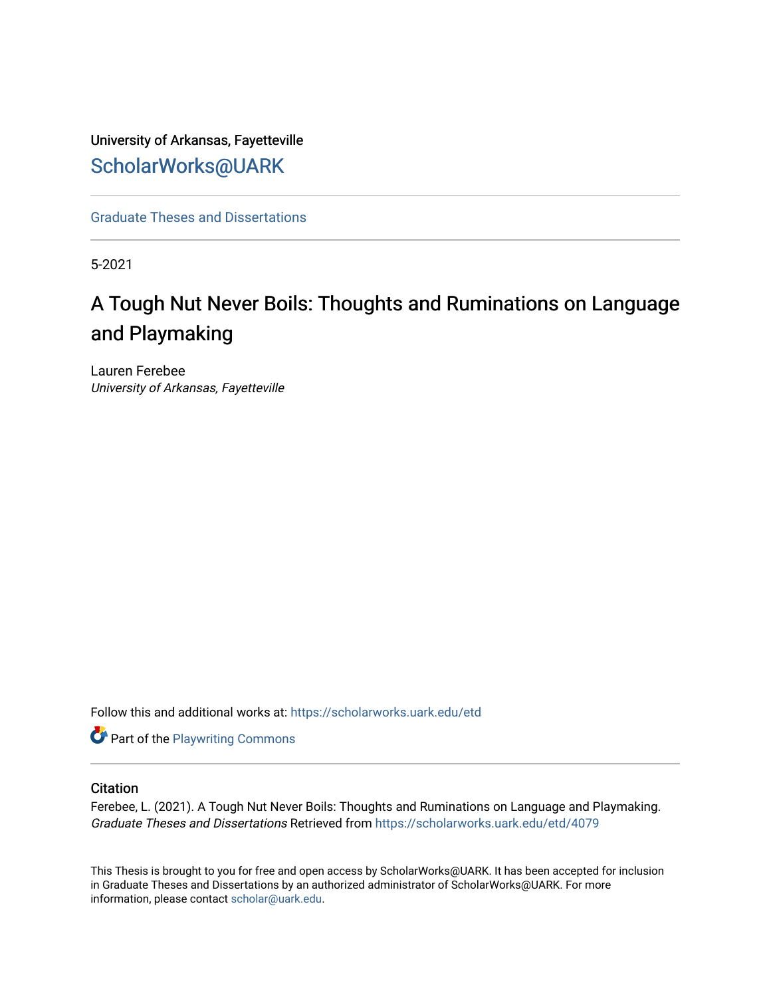# University of Arkansas, Fayetteville [ScholarWorks@UARK](https://scholarworks.uark.edu/)

[Graduate Theses and Dissertations](https://scholarworks.uark.edu/etd) 

5-2021

# A Tough Nut Never Boils: Thoughts and Ruminations on Language and Playmaking

Lauren Ferebee University of Arkansas, Fayetteville

Follow this and additional works at: [https://scholarworks.uark.edu/etd](https://scholarworks.uark.edu/etd?utm_source=scholarworks.uark.edu%2Fetd%2F4079&utm_medium=PDF&utm_campaign=PDFCoverPages)

**Part of the Playwriting Commons** 

## **Citation**

Ferebee, L. (2021). A Tough Nut Never Boils: Thoughts and Ruminations on Language and Playmaking. Graduate Theses and Dissertations Retrieved from [https://scholarworks.uark.edu/etd/4079](https://scholarworks.uark.edu/etd/4079?utm_source=scholarworks.uark.edu%2Fetd%2F4079&utm_medium=PDF&utm_campaign=PDFCoverPages)

This Thesis is brought to you for free and open access by ScholarWorks@UARK. It has been accepted for inclusion in Graduate Theses and Dissertations by an authorized administrator of ScholarWorks@UARK. For more information, please contact [scholar@uark.edu.](mailto:scholar@uark.edu)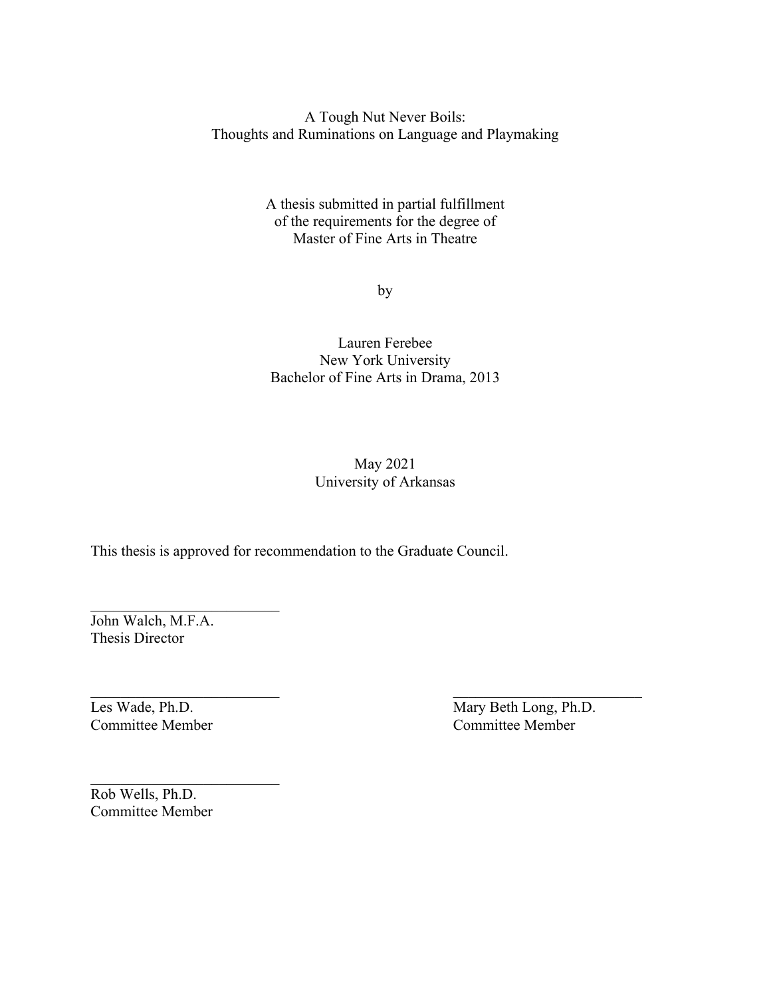A Tough Nut Never Boils: Thoughts and Ruminations on Language and Playmaking

> A thesis submitted in partial fulfillment of the requirements for the degree of Master of Fine Arts in Theatre

> > by

# Lauren Ferebee New York University Bachelor of Fine Arts in Drama, 2013

# May 2021 University of Arkansas

This thesis is approved for recommendation to the Graduate Council.

John Walch, M.F.A. Thesis Director

Les Wade, Ph.D. Mary Beth Long, Ph.D. Committee Member Committee Member

Rob Wells, Ph.D. Committee Member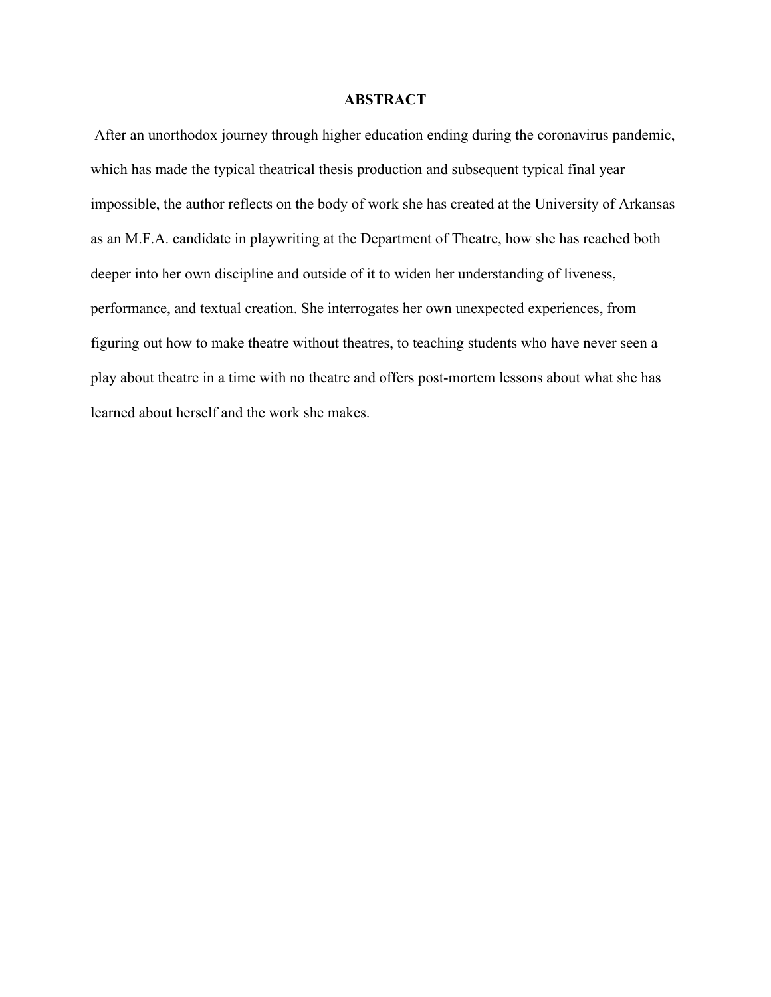## **ABSTRACT**

After an unorthodox journey through higher education ending during the coronavirus pandemic, which has made the typical theatrical thesis production and subsequent typical final year impossible, the author reflects on the body of work she has created at the University of Arkansas as an M.F.A. candidate in playwriting at the Department of Theatre, how she has reached both deeper into her own discipline and outside of it to widen her understanding of liveness, performance, and textual creation. She interrogates her own unexpected experiences, from figuring out how to make theatre without theatres, to teaching students who have never seen a play about theatre in a time with no theatre and offers post-mortem lessons about what she has learned about herself and the work she makes.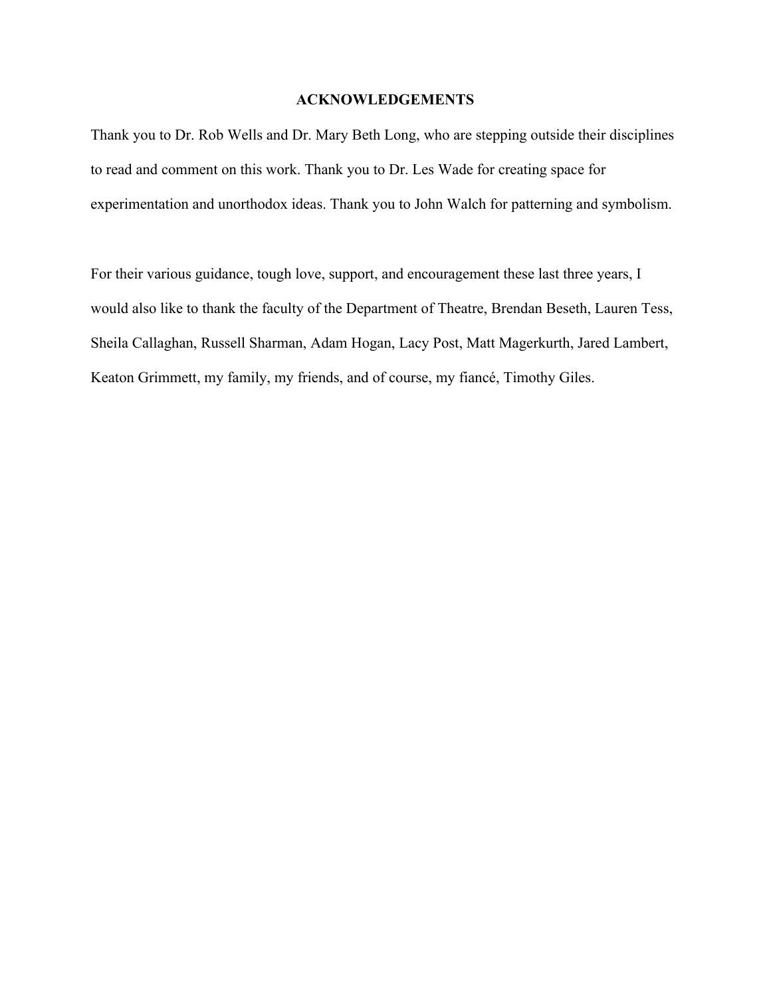# **ACKNOWLEDGEMENTS**

Thank you to Dr. Rob Wells and Dr. Mary Beth Long, who are stepping outside their disciplines to read and comment on this work. Thank you to Dr. Les Wade for creating space for experimentation and unorthodox ideas. Thank you to John Walch for patterning and symbolism.

For their various guidance, tough love, support, and encouragement these last three years, I would also like to thank the faculty of the Department of Theatre, Brendan Beseth, Lauren Tess, Sheila Callaghan, Russell Sharman, Adam Hogan, Lacy Post, Matt Magerkurth, Jared Lambert, Keaton Grimmett, my family, my friends, and of course, my fiancé, Timothy Giles.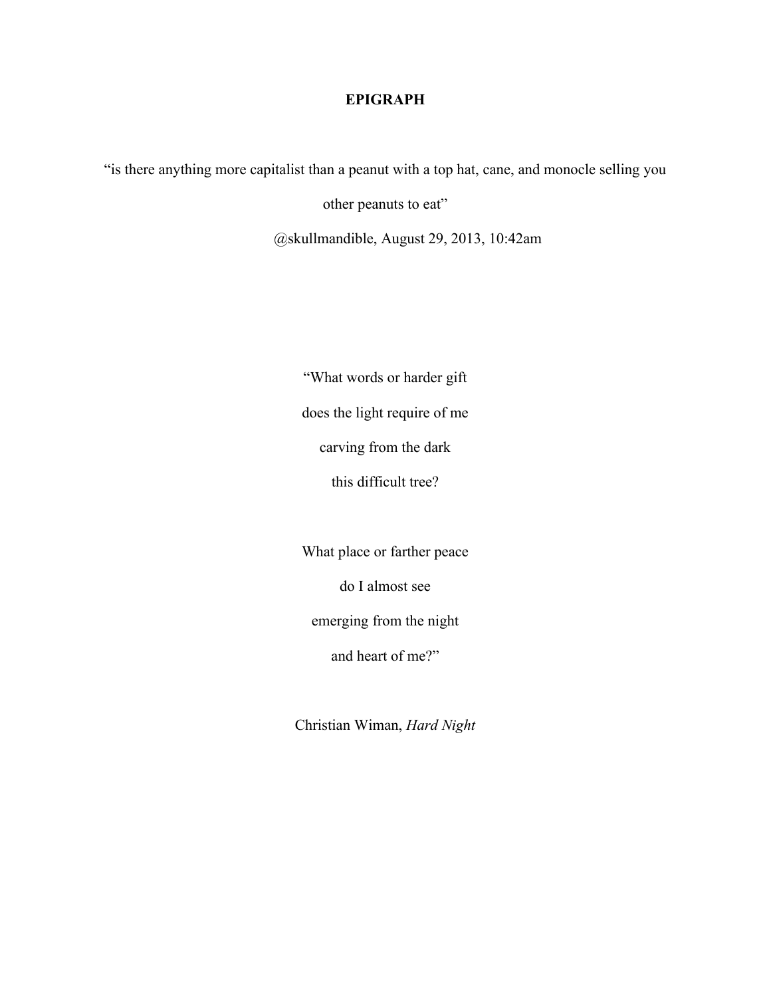# **EPIGRAPH**

"is there anything more capitalist than a peanut with a top hat, cane, and monocle selling you

other peanuts to eat"

@skullmandible, August 29, 2013, 10:42am

"What words or harder gift does the light require of me carving from the dark this difficult tree?

What place or farther peace

do I almost see

emerging from the night

and heart of me?"

Christian Wiman, *Hard Night*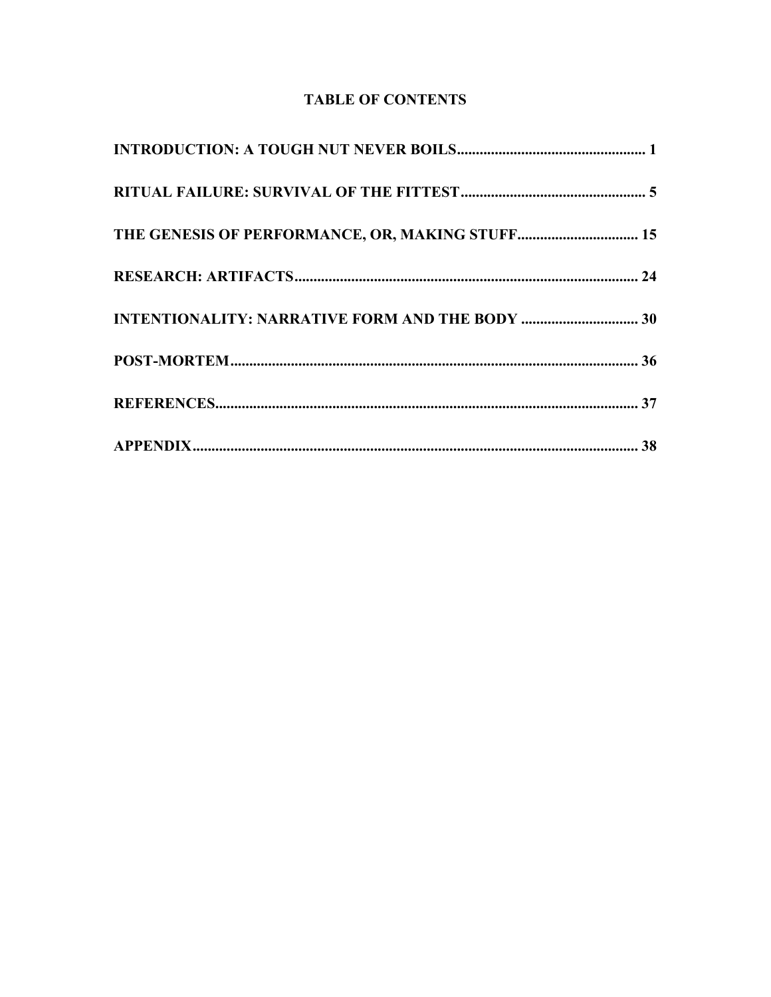# **TABLE OF CONTENTS**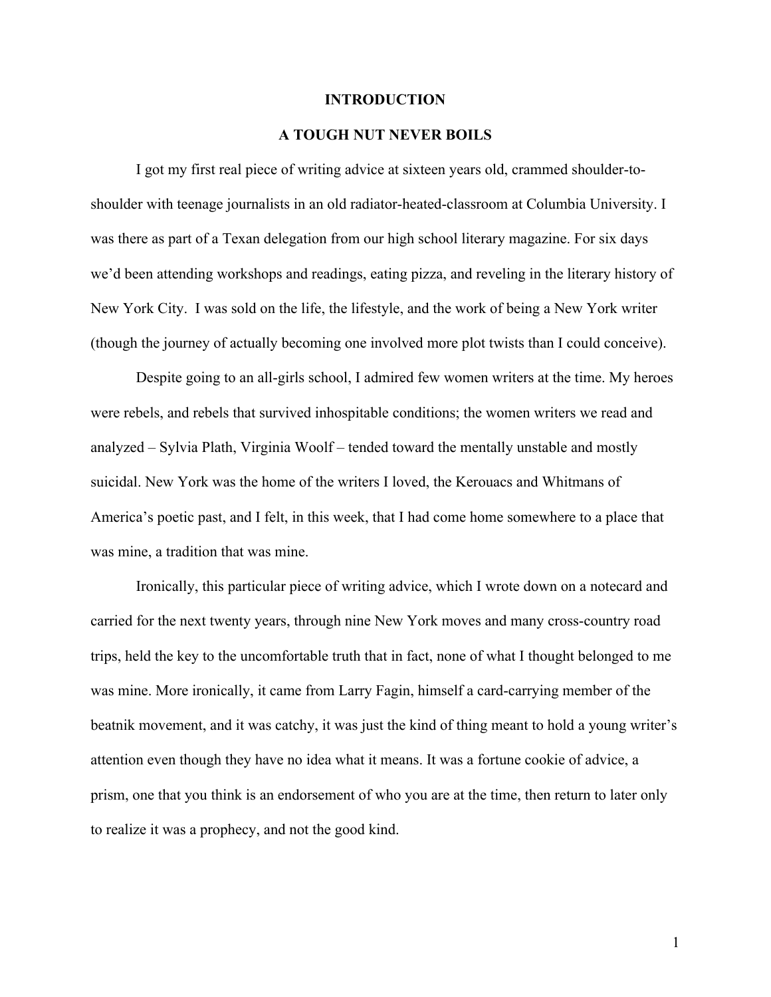#### **INTRODUCTION**

### **A TOUGH NUT NEVER BOILS**

I got my first real piece of writing advice at sixteen years old, crammed shoulder-toshoulder with teenage journalists in an old radiator-heated-classroom at Columbia University. I was there as part of a Texan delegation from our high school literary magazine. For six days we'd been attending workshops and readings, eating pizza, and reveling in the literary history of New York City. I was sold on the life, the lifestyle, and the work of being a New York writer (though the journey of actually becoming one involved more plot twists than I could conceive).

Despite going to an all-girls school, I admired few women writers at the time. My heroes were rebels, and rebels that survived inhospitable conditions; the women writers we read and analyzed – Sylvia Plath, Virginia Woolf – tended toward the mentally unstable and mostly suicidal. New York was the home of the writers I loved, the Kerouacs and Whitmans of America's poetic past, and I felt, in this week, that I had come home somewhere to a place that was mine, a tradition that was mine.

Ironically, this particular piece of writing advice, which I wrote down on a notecard and carried for the next twenty years, through nine New York moves and many cross-country road trips, held the key to the uncomfortable truth that in fact, none of what I thought belonged to me was mine. More ironically, it came from Larry Fagin, himself a card-carrying member of the beatnik movement, and it was catchy, it was just the kind of thing meant to hold a young writer's attention even though they have no idea what it means. It was a fortune cookie of advice, a prism, one that you think is an endorsement of who you are at the time, then return to later only to realize it was a prophecy, and not the good kind.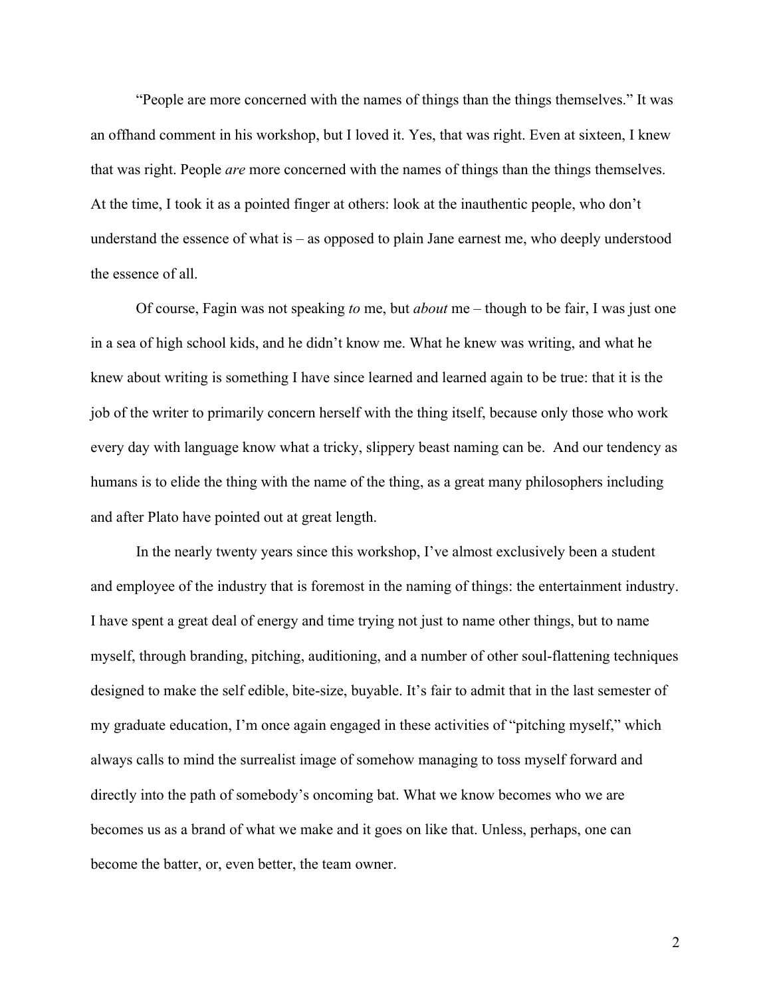"People are more concerned with the names of things than the things themselves." It was an offhand comment in his workshop, but I loved it. Yes, that was right. Even at sixteen, I knew that was right. People *are* more concerned with the names of things than the things themselves. At the time, I took it as a pointed finger at others: look at the inauthentic people, who don't understand the essence of what is – as opposed to plain Jane earnest me, who deeply understood the essence of all.

Of course, Fagin was not speaking *to* me, but *about* me – though to be fair, I was just one in a sea of high school kids, and he didn't know me. What he knew was writing, and what he knew about writing is something I have since learned and learned again to be true: that it is the job of the writer to primarily concern herself with the thing itself, because only those who work every day with language know what a tricky, slippery beast naming can be. And our tendency as humans is to elide the thing with the name of the thing, as a great many philosophers including and after Plato have pointed out at great length.

In the nearly twenty years since this workshop, I've almost exclusively been a student and employee of the industry that is foremost in the naming of things: the entertainment industry. I have spent a great deal of energy and time trying not just to name other things, but to name myself, through branding, pitching, auditioning, and a number of other soul-flattening techniques designed to make the self edible, bite-size, buyable. It's fair to admit that in the last semester of my graduate education, I'm once again engaged in these activities of "pitching myself," which always calls to mind the surrealist image of somehow managing to toss myself forward and directly into the path of somebody's oncoming bat. What we know becomes who we are becomes us as a brand of what we make and it goes on like that. Unless, perhaps, one can become the batter, or, even better, the team owner.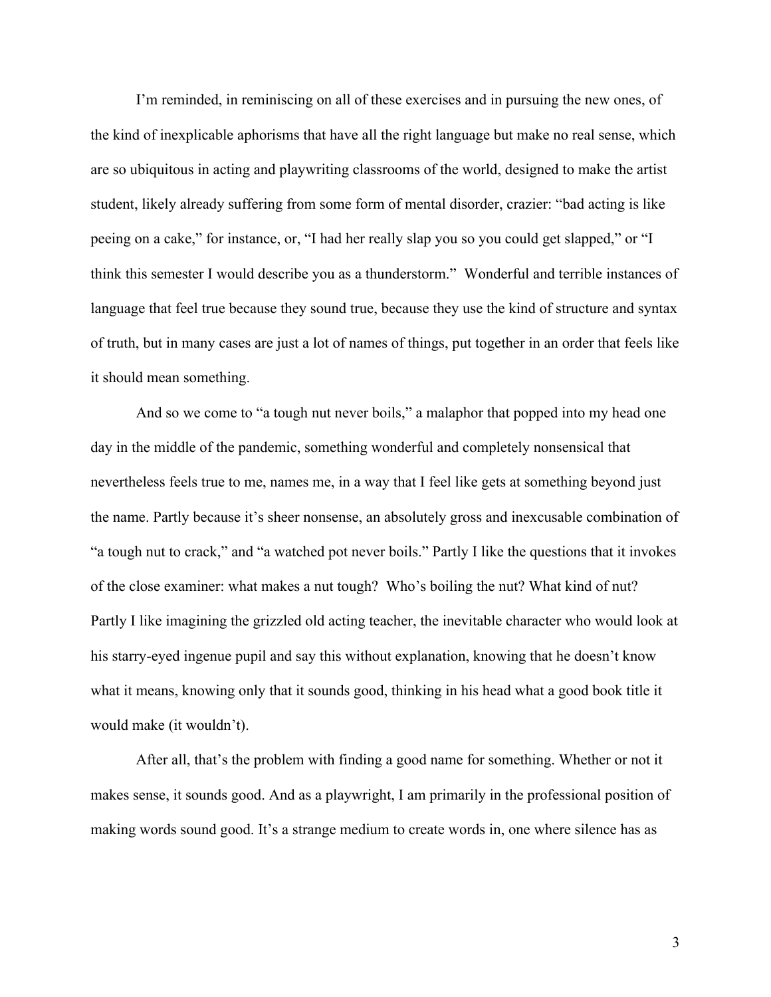I'm reminded, in reminiscing on all of these exercises and in pursuing the new ones, of the kind of inexplicable aphorisms that have all the right language but make no real sense, which are so ubiquitous in acting and playwriting classrooms of the world, designed to make the artist student, likely already suffering from some form of mental disorder, crazier: "bad acting is like peeing on a cake," for instance, or, "I had her really slap you so you could get slapped," or "I think this semester I would describe you as a thunderstorm." Wonderful and terrible instances of language that feel true because they sound true, because they use the kind of structure and syntax of truth, but in many cases are just a lot of names of things, put together in an order that feels like it should mean something.

And so we come to "a tough nut never boils," a malaphor that popped into my head one day in the middle of the pandemic, something wonderful and completely nonsensical that nevertheless feels true to me, names me, in a way that I feel like gets at something beyond just the name. Partly because it's sheer nonsense, an absolutely gross and inexcusable combination of "a tough nut to crack," and "a watched pot never boils." Partly I like the questions that it invokes of the close examiner: what makes a nut tough? Who's boiling the nut? What kind of nut? Partly I like imagining the grizzled old acting teacher, the inevitable character who would look at his starry-eyed ingenue pupil and say this without explanation, knowing that he doesn't know what it means, knowing only that it sounds good, thinking in his head what a good book title it would make (it wouldn't).

After all, that's the problem with finding a good name for something. Whether or not it makes sense, it sounds good. And as a playwright, I am primarily in the professional position of making words sound good. It's a strange medium to create words in, one where silence has as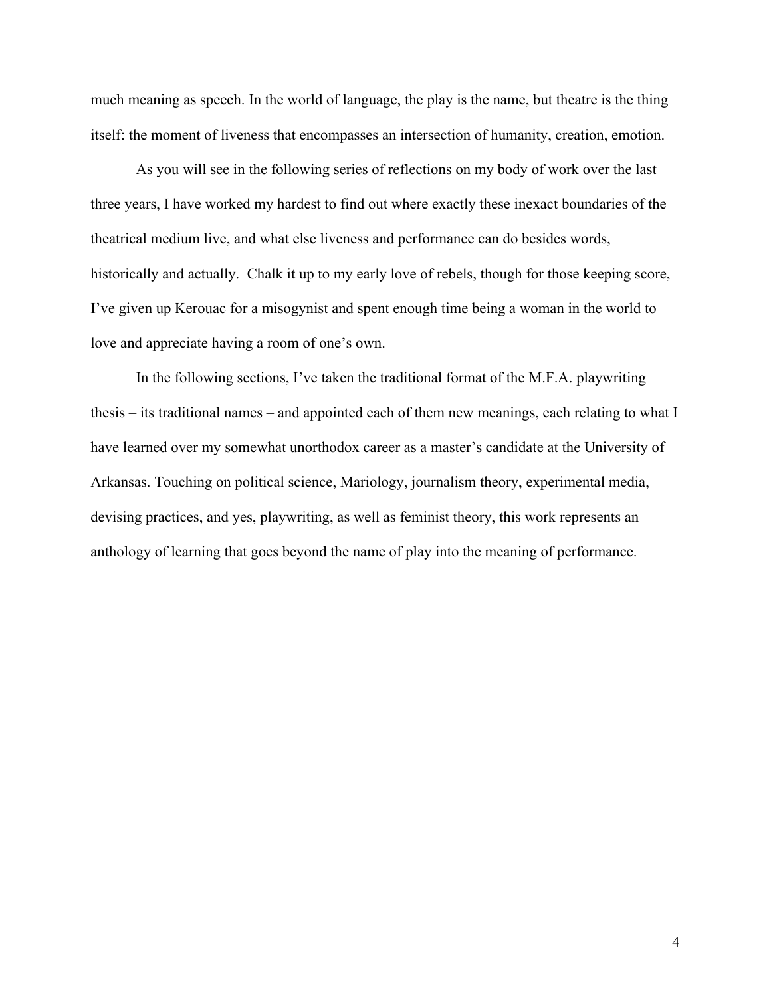much meaning as speech. In the world of language, the play is the name, but theatre is the thing itself: the moment of liveness that encompasses an intersection of humanity, creation, emotion.

As you will see in the following series of reflections on my body of work over the last three years, I have worked my hardest to find out where exactly these inexact boundaries of the theatrical medium live, and what else liveness and performance can do besides words, historically and actually. Chalk it up to my early love of rebels, though for those keeping score, I've given up Kerouac for a misogynist and spent enough time being a woman in the world to love and appreciate having a room of one's own.

In the following sections, I've taken the traditional format of the M.F.A. playwriting thesis – its traditional names – and appointed each of them new meanings, each relating to what I have learned over my somewhat unorthodox career as a master's candidate at the University of Arkansas. Touching on political science, Mariology, journalism theory, experimental media, devising practices, and yes, playwriting, as well as feminist theory, this work represents an anthology of learning that goes beyond the name of play into the meaning of performance.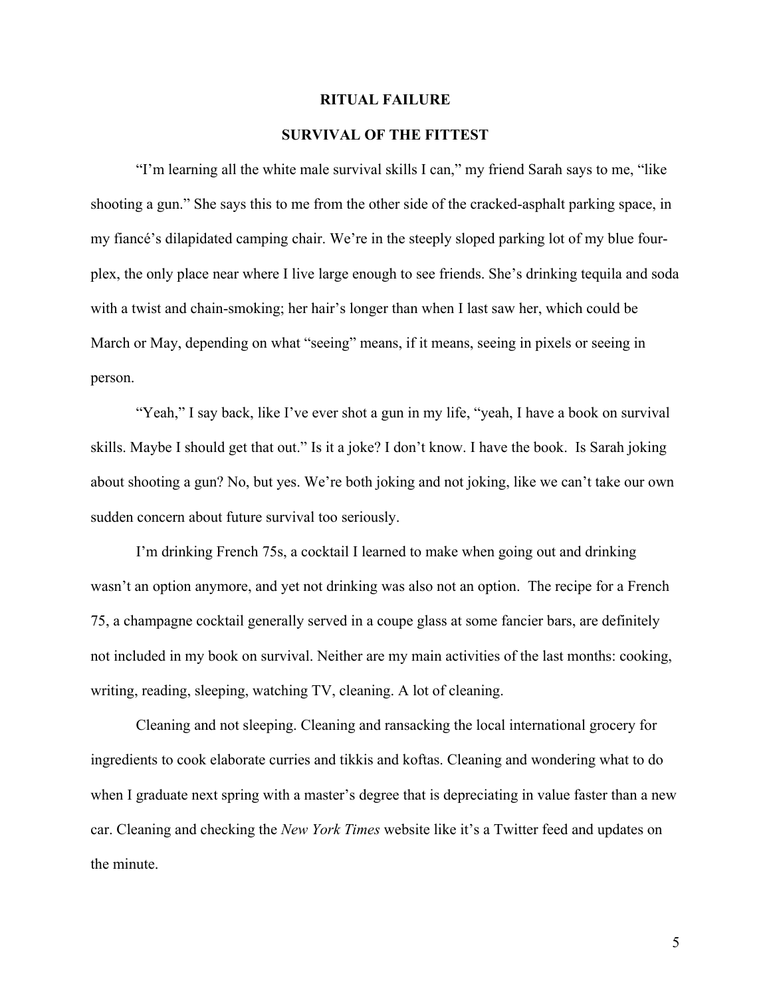#### **RITUAL FAILURE**

# **SURVIVAL OF THE FITTEST**

"I'm learning all the white male survival skills I can," my friend Sarah says to me, "like shooting a gun." She says this to me from the other side of the cracked-asphalt parking space, in my fiancé's dilapidated camping chair. We're in the steeply sloped parking lot of my blue fourplex, the only place near where I live large enough to see friends. She's drinking tequila and soda with a twist and chain-smoking; her hair's longer than when I last saw her, which could be March or May, depending on what "seeing" means, if it means, seeing in pixels or seeing in person.

"Yeah," I say back, like I've ever shot a gun in my life, "yeah, I have a book on survival skills. Maybe I should get that out." Is it a joke? I don't know. I have the book. Is Sarah joking about shooting a gun? No, but yes. We're both joking and not joking, like we can't take our own sudden concern about future survival too seriously.

I'm drinking French 75s, a cocktail I learned to make when going out and drinking wasn't an option anymore, and yet not drinking was also not an option. The recipe for a French 75, a champagne cocktail generally served in a coupe glass at some fancier bars, are definitely not included in my book on survival. Neither are my main activities of the last months: cooking, writing, reading, sleeping, watching TV, cleaning. A lot of cleaning.

Cleaning and not sleeping. Cleaning and ransacking the local international grocery for ingredients to cook elaborate curries and tikkis and koftas. Cleaning and wondering what to do when I graduate next spring with a master's degree that is depreciating in value faster than a new car. Cleaning and checking the *New York Times* website like it's a Twitter feed and updates on the minute.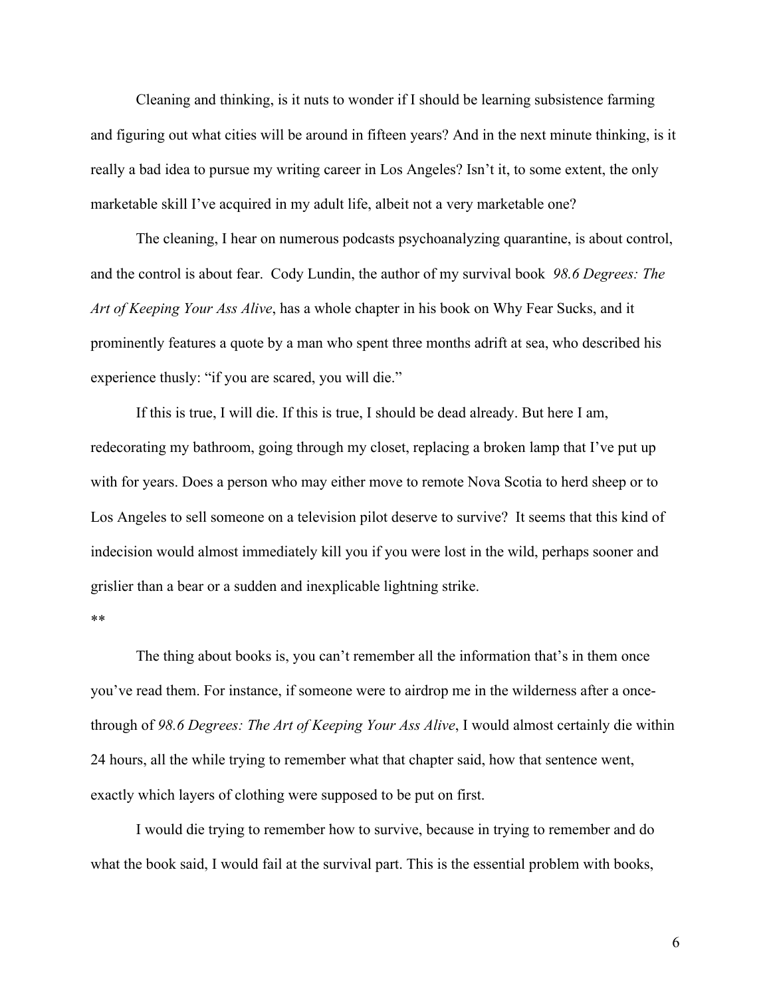Cleaning and thinking, is it nuts to wonder if I should be learning subsistence farming and figuring out what cities will be around in fifteen years? And in the next minute thinking, is it really a bad idea to pursue my writing career in Los Angeles? Isn't it, to some extent, the only marketable skill I've acquired in my adult life, albeit not a very marketable one?

The cleaning, I hear on numerous podcasts psychoanalyzing quarantine, is about control, and the control is about fear. Cody Lundin, the author of my survival book *98.6 Degrees: The Art of Keeping Your Ass Alive*, has a whole chapter in his book on Why Fear Sucks, and it prominently features a quote by a man who spent three months adrift at sea, who described his experience thusly: "if you are scared, you will die."

If this is true, I will die. If this is true, I should be dead already. But here I am, redecorating my bathroom, going through my closet, replacing a broken lamp that I've put up with for years. Does a person who may either move to remote Nova Scotia to herd sheep or to Los Angeles to sell someone on a television pilot deserve to survive? It seems that this kind of indecision would almost immediately kill you if you were lost in the wild, perhaps sooner and grislier than a bear or a sudden and inexplicable lightning strike.

\*\*

The thing about books is, you can't remember all the information that's in them once you've read them. For instance, if someone were to airdrop me in the wilderness after a oncethrough of *98.6 Degrees: The Art of Keeping Your Ass Alive*, I would almost certainly die within 24 hours, all the while trying to remember what that chapter said, how that sentence went, exactly which layers of clothing were supposed to be put on first.

I would die trying to remember how to survive, because in trying to remember and do what the book said, I would fail at the survival part. This is the essential problem with books,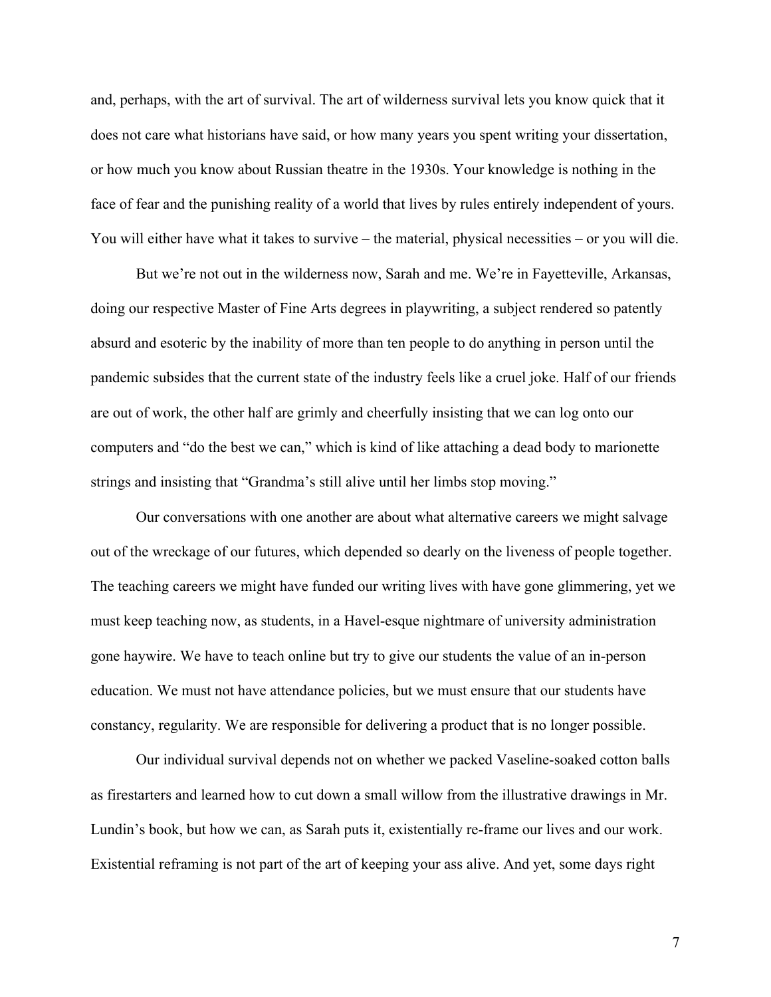and, perhaps, with the art of survival. The art of wilderness survival lets you know quick that it does not care what historians have said, or how many years you spent writing your dissertation, or how much you know about Russian theatre in the 1930s. Your knowledge is nothing in the face of fear and the punishing reality of a world that lives by rules entirely independent of yours. You will either have what it takes to survive – the material, physical necessities – or you will die.

But we're not out in the wilderness now, Sarah and me. We're in Fayetteville, Arkansas, doing our respective Master of Fine Arts degrees in playwriting, a subject rendered so patently absurd and esoteric by the inability of more than ten people to do anything in person until the pandemic subsides that the current state of the industry feels like a cruel joke. Half of our friends are out of work, the other half are grimly and cheerfully insisting that we can log onto our computers and "do the best we can," which is kind of like attaching a dead body to marionette strings and insisting that "Grandma's still alive until her limbs stop moving."

Our conversations with one another are about what alternative careers we might salvage out of the wreckage of our futures, which depended so dearly on the liveness of people together. The teaching careers we might have funded our writing lives with have gone glimmering, yet we must keep teaching now, as students, in a Havel-esque nightmare of university administration gone haywire. We have to teach online but try to give our students the value of an in-person education. We must not have attendance policies, but we must ensure that our students have constancy, regularity. We are responsible for delivering a product that is no longer possible.

Our individual survival depends not on whether we packed Vaseline-soaked cotton balls as firestarters and learned how to cut down a small willow from the illustrative drawings in Mr. Lundin's book, but how we can, as Sarah puts it, existentially re-frame our lives and our work. Existential reframing is not part of the art of keeping your ass alive. And yet, some days right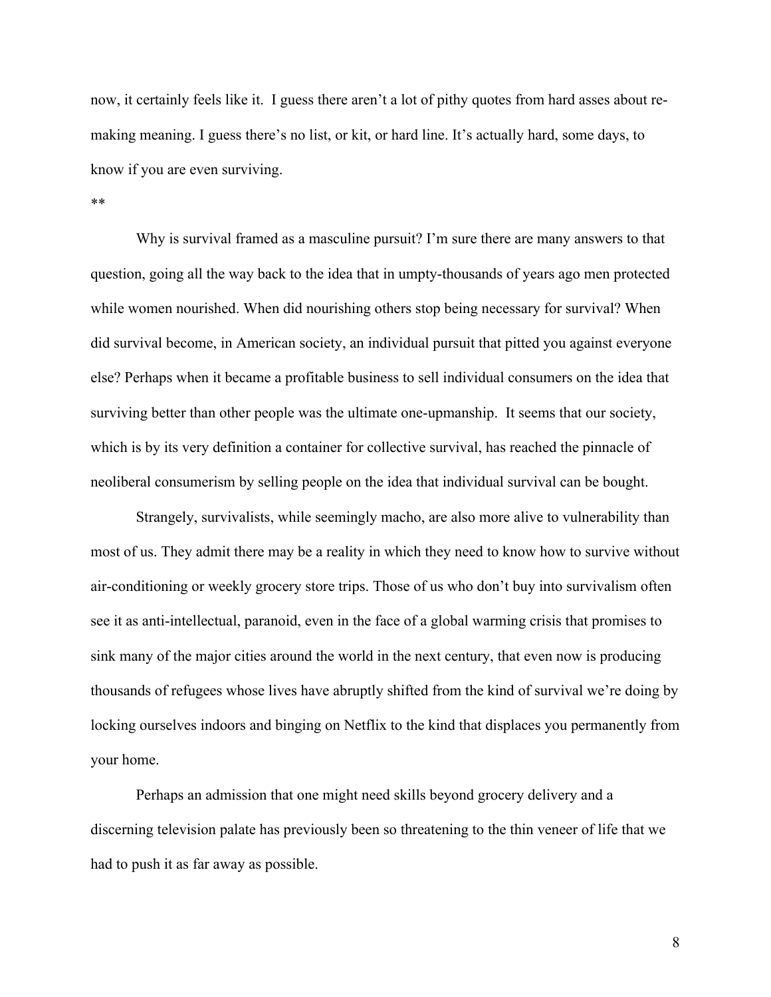now, it certainly feels like it. I guess there aren't a lot of pithy quotes from hard asses about remaking meaning. I guess there's no list, or kit, or hard line. It's actually hard, some days, to know if you are even surviving.

#### \*\*

Why is survival framed as a masculine pursuit? I'm sure there are many answers to that question, going all the way back to the idea that in umpty-thousands of years ago men protected while women nourished. When did nourishing others stop being necessary for survival? When did survival become, in American society, an individual pursuit that pitted you against everyone else? Perhaps when it became a profitable business to sell individual consumers on the idea that surviving better than other people was the ultimate one-upmanship. It seems that our society, which is by its very definition a container for collective survival, has reached the pinnacle of neoliberal consumerism by selling people on the idea that individual survival can be bought.

Strangely, survivalists, while seemingly macho, are also more alive to vulnerability than most of us. They admit there may be a reality in which they need to know how to survive without air-conditioning or weekly grocery store trips. Those of us who don't buy into survivalism often see it as anti-intellectual, paranoid, even in the face of a global warming crisis that promises to sink many of the major cities around the world in the next century, that even now is producing thousands of refugees whose lives have abruptly shifted from the kind of survival we're doing by locking ourselves indoors and binging on Netflix to the kind that displaces you permanently from your home.

Perhaps an admission that one might need skills beyond grocery delivery and a discerning television palate has previously been so threatening to the thin veneer of life that we had to push it as far away as possible.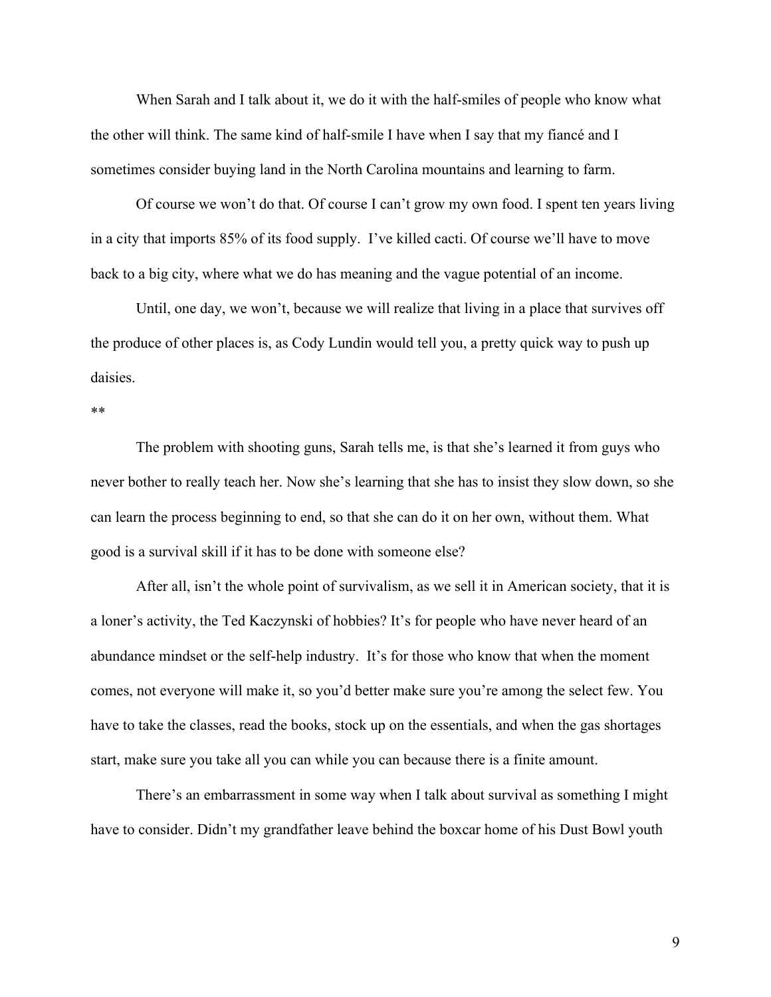When Sarah and I talk about it, we do it with the half-smiles of people who know what the other will think. The same kind of half-smile I have when I say that my fiancé and I sometimes consider buying land in the North Carolina mountains and learning to farm.

Of course we won't do that. Of course I can't grow my own food. I spent ten years living in a city that imports 85% of its food supply. I've killed cacti. Of course we'll have to move back to a big city, where what we do has meaning and the vague potential of an income.

Until, one day, we won't, because we will realize that living in a place that survives off the produce of other places is, as Cody Lundin would tell you, a pretty quick way to push up daisies.

#### \*\*

The problem with shooting guns, Sarah tells me, is that she's learned it from guys who never bother to really teach her. Now she's learning that she has to insist they slow down, so she can learn the process beginning to end, so that she can do it on her own, without them. What good is a survival skill if it has to be done with someone else?

After all, isn't the whole point of survivalism, as we sell it in American society, that it is a loner's activity, the Ted Kaczynski of hobbies? It's for people who have never heard of an abundance mindset or the self-help industry. It's for those who know that when the moment comes, not everyone will make it, so you'd better make sure you're among the select few. You have to take the classes, read the books, stock up on the essentials, and when the gas shortages start, make sure you take all you can while you can because there is a finite amount.

There's an embarrassment in some way when I talk about survival as something I might have to consider. Didn't my grandfather leave behind the boxcar home of his Dust Bowl youth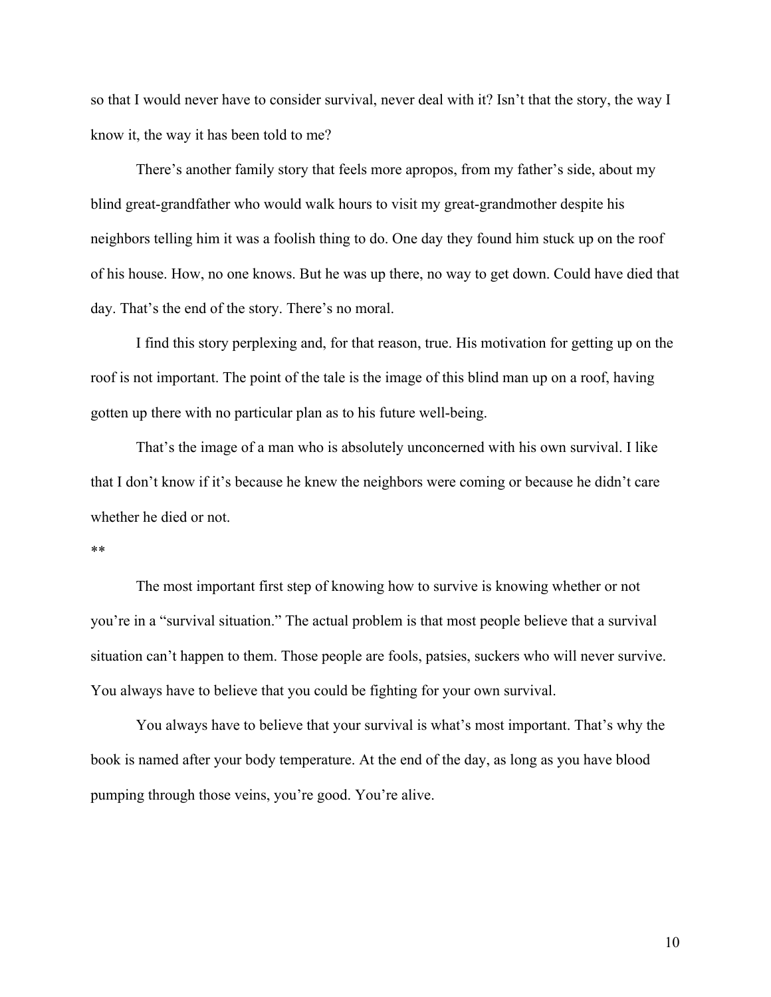so that I would never have to consider survival, never deal with it? Isn't that the story, the way I know it, the way it has been told to me?

There's another family story that feels more apropos, from my father's side, about my blind great-grandfather who would walk hours to visit my great-grandmother despite his neighbors telling him it was a foolish thing to do. One day they found him stuck up on the roof of his house. How, no one knows. But he was up there, no way to get down. Could have died that day. That's the end of the story. There's no moral.

I find this story perplexing and, for that reason, true. His motivation for getting up on the roof is not important. The point of the tale is the image of this blind man up on a roof, having gotten up there with no particular plan as to his future well-being.

That's the image of a man who is absolutely unconcerned with his own survival. I like that I don't know if it's because he knew the neighbors were coming or because he didn't care whether he died or not.

#### \*\*

The most important first step of knowing how to survive is knowing whether or not you're in a "survival situation." The actual problem is that most people believe that a survival situation can't happen to them. Those people are fools, patsies, suckers who will never survive. You always have to believe that you could be fighting for your own survival.

You always have to believe that your survival is what's most important. That's why the book is named after your body temperature. At the end of the day, as long as you have blood pumping through those veins, you're good. You're alive.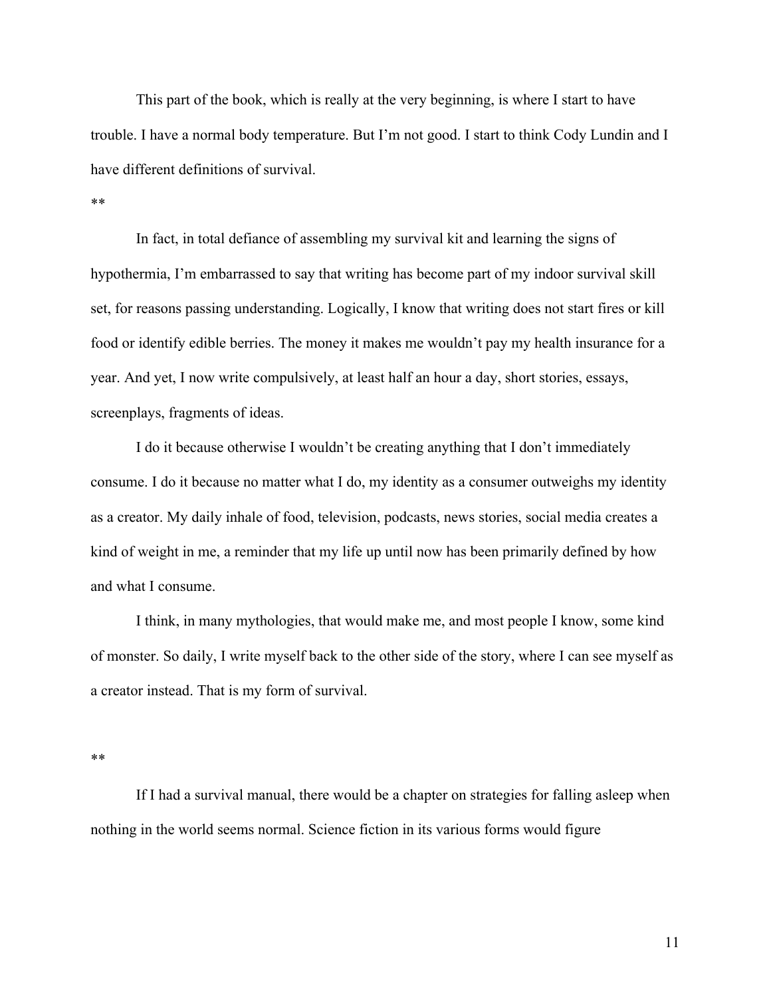This part of the book, which is really at the very beginning, is where I start to have trouble. I have a normal body temperature. But I'm not good. I start to think Cody Lundin and I have different definitions of survival.

#### \*\*

In fact, in total defiance of assembling my survival kit and learning the signs of hypothermia, I'm embarrassed to say that writing has become part of my indoor survival skill set, for reasons passing understanding. Logically, I know that writing does not start fires or kill food or identify edible berries. The money it makes me wouldn't pay my health insurance for a year. And yet, I now write compulsively, at least half an hour a day, short stories, essays, screenplays, fragments of ideas.

I do it because otherwise I wouldn't be creating anything that I don't immediately consume. I do it because no matter what I do, my identity as a consumer outweighs my identity as a creator. My daily inhale of food, television, podcasts, news stories, social media creates a kind of weight in me, a reminder that my life up until now has been primarily defined by how and what I consume.

I think, in many mythologies, that would make me, and most people I know, some kind of monster. So daily, I write myself back to the other side of the story, where I can see myself as a creator instead. That is my form of survival.

\*\*

If I had a survival manual, there would be a chapter on strategies for falling asleep when nothing in the world seems normal. Science fiction in its various forms would figure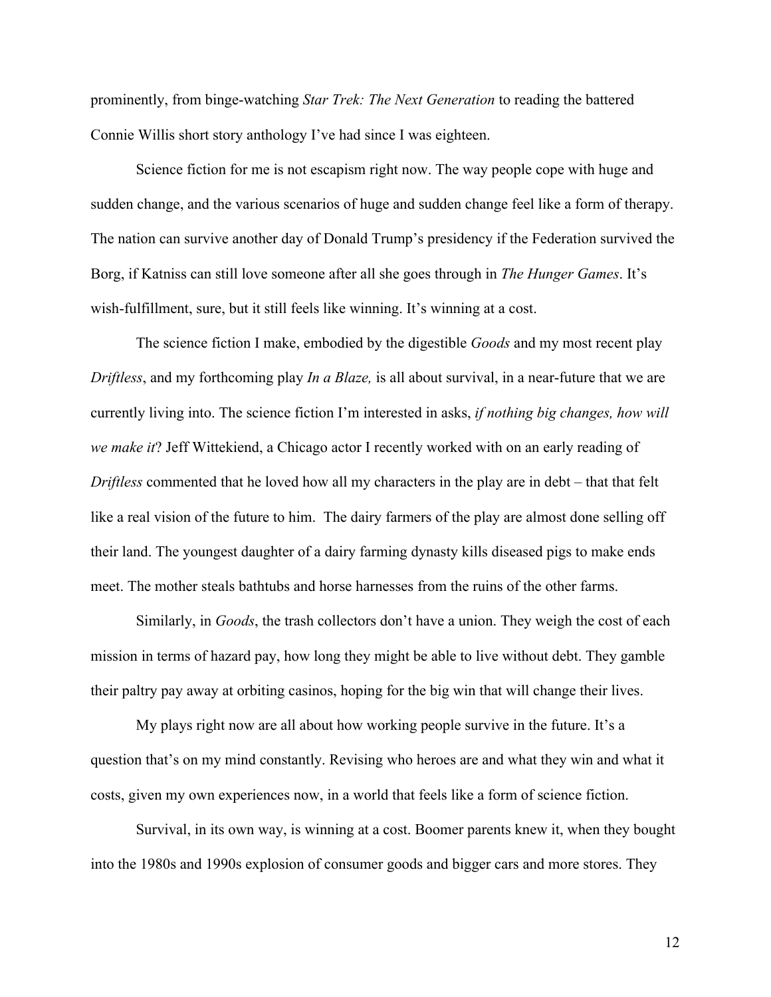prominently, from binge-watching *Star Trek: The Next Generation* to reading the battered Connie Willis short story anthology I've had since I was eighteen.

Science fiction for me is not escapism right now. The way people cope with huge and sudden change, and the various scenarios of huge and sudden change feel like a form of therapy. The nation can survive another day of Donald Trump's presidency if the Federation survived the Borg, if Katniss can still love someone after all she goes through in *The Hunger Games*. It's wish-fulfillment, sure, but it still feels like winning. It's winning at a cost.

The science fiction I make, embodied by the digestible *Goods* and my most recent play *Driftless*, and my forthcoming play *In a Blaze,* is all about survival, in a near-future that we are currently living into. The science fiction I'm interested in asks, *if nothing big changes, how will we make it*? Jeff Wittekiend, a Chicago actor I recently worked with on an early reading of *Driftless* commented that he loved how all my characters in the play are in debt – that that felt like a real vision of the future to him. The dairy farmers of the play are almost done selling off their land. The youngest daughter of a dairy farming dynasty kills diseased pigs to make ends meet. The mother steals bathtubs and horse harnesses from the ruins of the other farms.

Similarly, in *Goods*, the trash collectors don't have a union. They weigh the cost of each mission in terms of hazard pay, how long they might be able to live without debt. They gamble their paltry pay away at orbiting casinos, hoping for the big win that will change their lives.

My plays right now are all about how working people survive in the future. It's a question that's on my mind constantly. Revising who heroes are and what they win and what it costs, given my own experiences now, in a world that feels like a form of science fiction.

Survival, in its own way, is winning at a cost. Boomer parents knew it, when they bought into the 1980s and 1990s explosion of consumer goods and bigger cars and more stores. They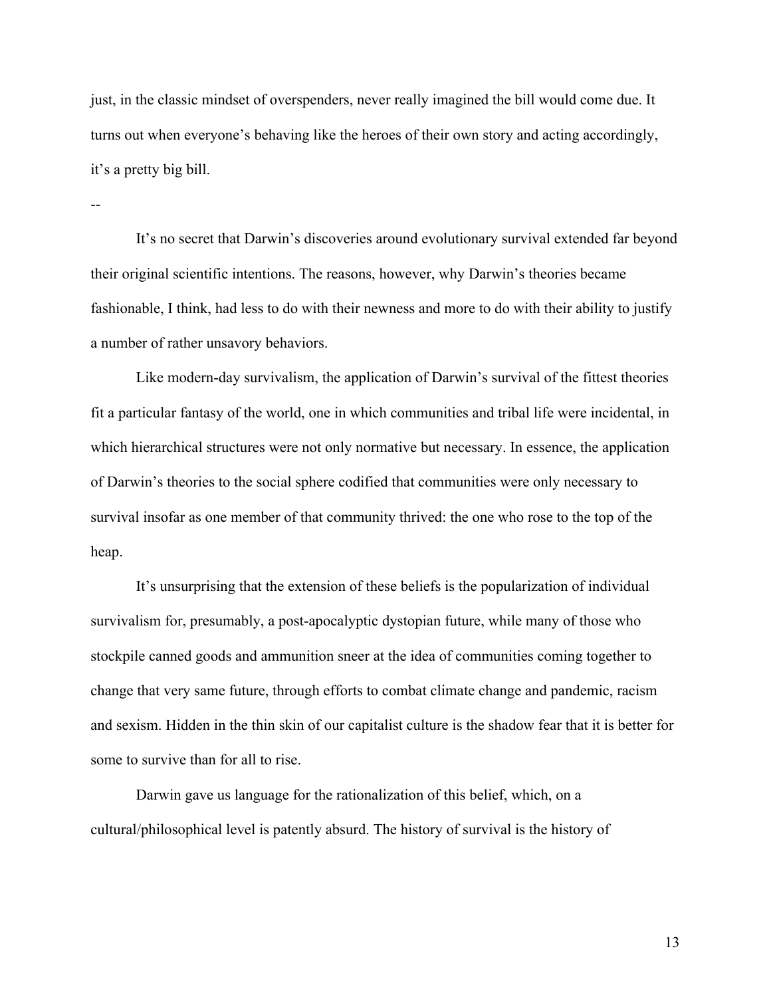just, in the classic mindset of overspenders, never really imagined the bill would come due. It turns out when everyone's behaving like the heroes of their own story and acting accordingly, it's a pretty big bill.

--

It's no secret that Darwin's discoveries around evolutionary survival extended far beyond their original scientific intentions. The reasons, however, why Darwin's theories became fashionable, I think, had less to do with their newness and more to do with their ability to justify a number of rather unsavory behaviors.

Like modern-day survivalism, the application of Darwin's survival of the fittest theories fit a particular fantasy of the world, one in which communities and tribal life were incidental, in which hierarchical structures were not only normative but necessary. In essence, the application of Darwin's theories to the social sphere codified that communities were only necessary to survival insofar as one member of that community thrived: the one who rose to the top of the heap.

It's unsurprising that the extension of these beliefs is the popularization of individual survivalism for, presumably, a post-apocalyptic dystopian future, while many of those who stockpile canned goods and ammunition sneer at the idea of communities coming together to change that very same future, through efforts to combat climate change and pandemic, racism and sexism. Hidden in the thin skin of our capitalist culture is the shadow fear that it is better for some to survive than for all to rise.

Darwin gave us language for the rationalization of this belief, which, on a cultural/philosophical level is patently absurd. The history of survival is the history of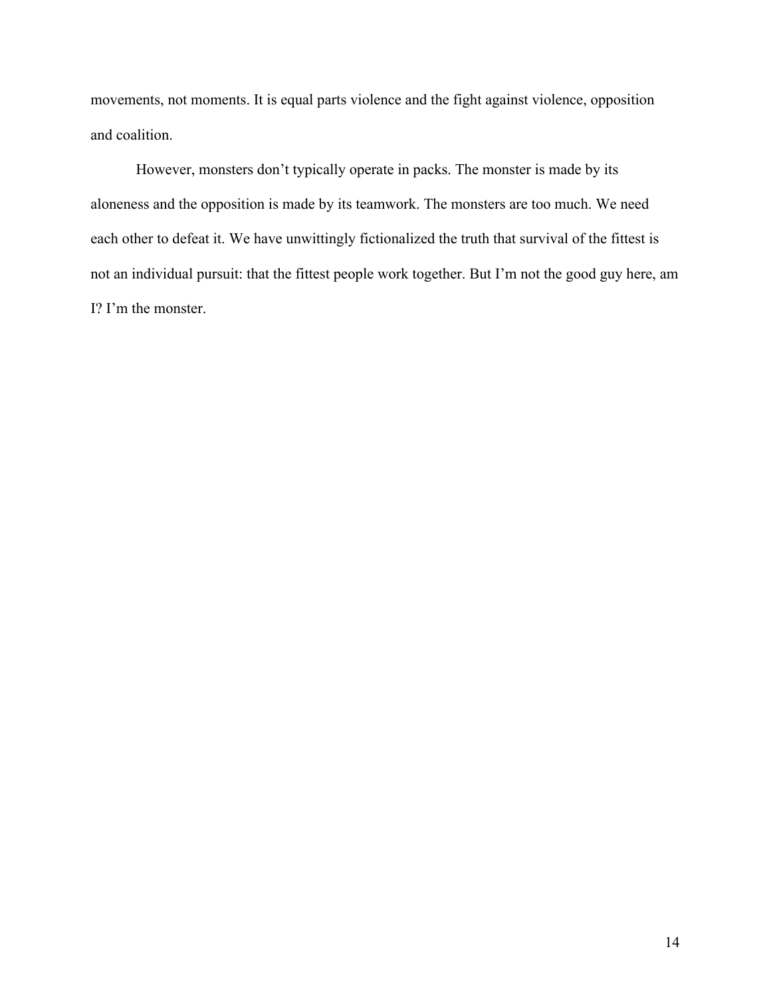movements, not moments. It is equal parts violence and the fight against violence, opposition and coalition.

However, monsters don't typically operate in packs. The monster is made by its aloneness and the opposition is made by its teamwork. The monsters are too much. We need each other to defeat it. We have unwittingly fictionalized the truth that survival of the fittest is not an individual pursuit: that the fittest people work together. But I'm not the good guy here, am I? I'm the monster.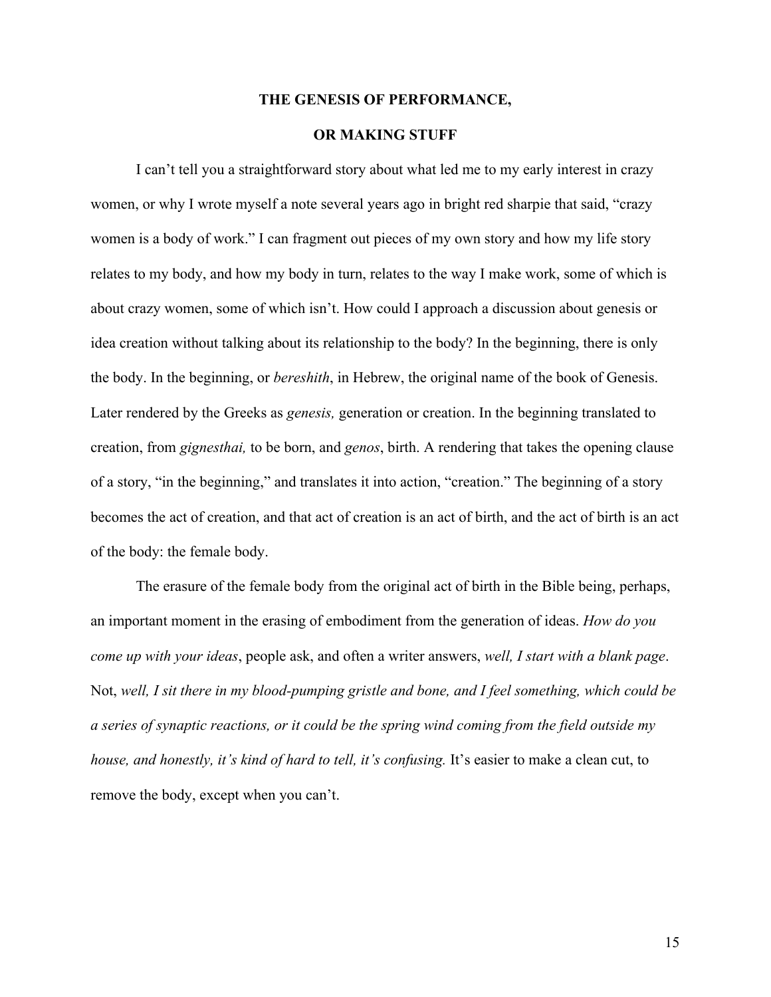#### **THE GENESIS OF PERFORMANCE,**

# **OR MAKING STUFF**

I can't tell you a straightforward story about what led me to my early interest in crazy women, or why I wrote myself a note several years ago in bright red sharpie that said, "crazy women is a body of work." I can fragment out pieces of my own story and how my life story relates to my body, and how my body in turn, relates to the way I make work, some of which is about crazy women, some of which isn't. How could I approach a discussion about genesis or idea creation without talking about its relationship to the body? In the beginning, there is only the body. In the beginning, or *bereshith*, in Hebrew, the original name of the book of Genesis. Later rendered by the Greeks as *genesis,* generation or creation. In the beginning translated to creation, from *gignesthai,* to be born, and *genos*, birth. A rendering that takes the opening clause of a story, "in the beginning," and translates it into action, "creation." The beginning of a story becomes the act of creation, and that act of creation is an act of birth, and the act of birth is an act of the body: the female body.

The erasure of the female body from the original act of birth in the Bible being, perhaps, an important moment in the erasing of embodiment from the generation of ideas. *How do you come up with your ideas*, people ask, and often a writer answers, *well, I start with a blank page*. Not, *well, I sit there in my blood-pumping gristle and bone, and I feel something, which could be a series of synaptic reactions, or it could be the spring wind coming from the field outside my house, and honestly, it's kind of hard to tell, it's confusing.* It's easier to make a clean cut, to remove the body, except when you can't.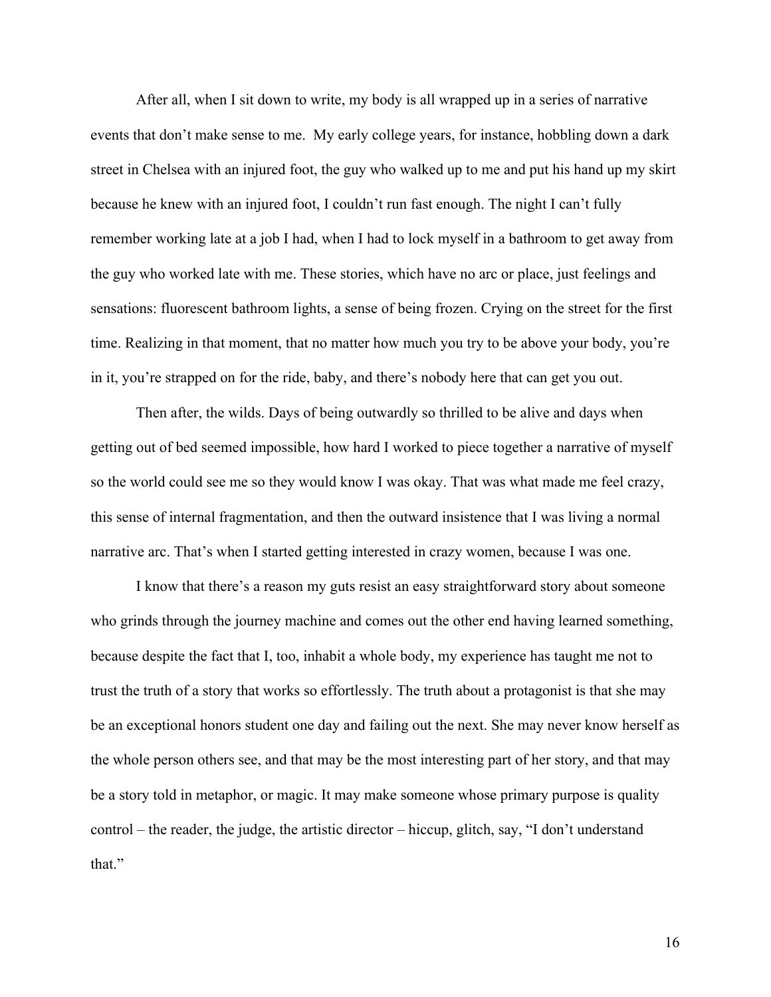After all, when I sit down to write, my body is all wrapped up in a series of narrative events that don't make sense to me. My early college years, for instance, hobbling down a dark street in Chelsea with an injured foot, the guy who walked up to me and put his hand up my skirt because he knew with an injured foot, I couldn't run fast enough. The night I can't fully remember working late at a job I had, when I had to lock myself in a bathroom to get away from the guy who worked late with me. These stories, which have no arc or place, just feelings and sensations: fluorescent bathroom lights, a sense of being frozen. Crying on the street for the first time. Realizing in that moment, that no matter how much you try to be above your body, you're in it, you're strapped on for the ride, baby, and there's nobody here that can get you out.

Then after, the wilds. Days of being outwardly so thrilled to be alive and days when getting out of bed seemed impossible, how hard I worked to piece together a narrative of myself so the world could see me so they would know I was okay. That was what made me feel crazy, this sense of internal fragmentation, and then the outward insistence that I was living a normal narrative arc. That's when I started getting interested in crazy women, because I was one.

I know that there's a reason my guts resist an easy straightforward story about someone who grinds through the journey machine and comes out the other end having learned something, because despite the fact that I, too, inhabit a whole body, my experience has taught me not to trust the truth of a story that works so effortlessly. The truth about a protagonist is that she may be an exceptional honors student one day and failing out the next. She may never know herself as the whole person others see, and that may be the most interesting part of her story, and that may be a story told in metaphor, or magic. It may make someone whose primary purpose is quality control – the reader, the judge, the artistic director – hiccup, glitch, say, "I don't understand that."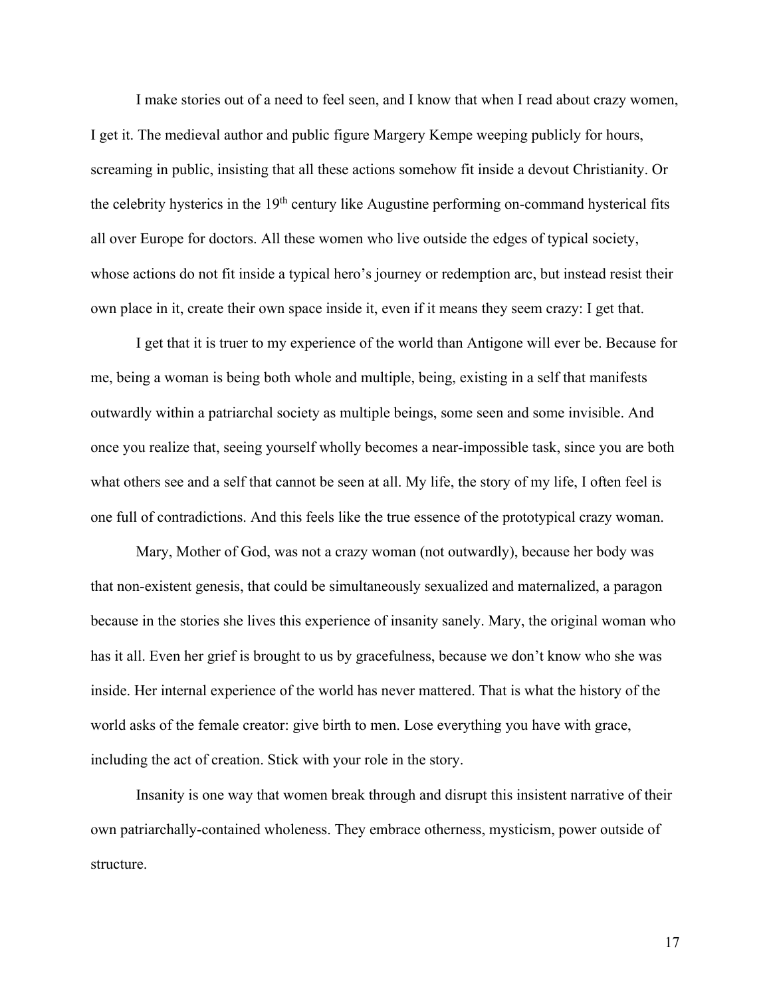I make stories out of a need to feel seen, and I know that when I read about crazy women, I get it. The medieval author and public figure Margery Kempe weeping publicly for hours, screaming in public, insisting that all these actions somehow fit inside a devout Christianity. Or the celebrity hysterics in the  $19<sup>th</sup>$  century like Augustine performing on-command hysterical fits all over Europe for doctors. All these women who live outside the edges of typical society, whose actions do not fit inside a typical hero's journey or redemption arc, but instead resist their own place in it, create their own space inside it, even if it means they seem crazy: I get that.

I get that it is truer to my experience of the world than Antigone will ever be. Because for me, being a woman is being both whole and multiple, being, existing in a self that manifests outwardly within a patriarchal society as multiple beings, some seen and some invisible. And once you realize that, seeing yourself wholly becomes a near-impossible task, since you are both what others see and a self that cannot be seen at all. My life, the story of my life, I often feel is one full of contradictions. And this feels like the true essence of the prototypical crazy woman.

Mary, Mother of God, was not a crazy woman (not outwardly), because her body was that non-existent genesis, that could be simultaneously sexualized and maternalized, a paragon because in the stories she lives this experience of insanity sanely. Mary, the original woman who has it all. Even her grief is brought to us by gracefulness, because we don't know who she was inside. Her internal experience of the world has never mattered. That is what the history of the world asks of the female creator: give birth to men. Lose everything you have with grace, including the act of creation. Stick with your role in the story.

Insanity is one way that women break through and disrupt this insistent narrative of their own patriarchally-contained wholeness. They embrace otherness, mysticism, power outside of structure.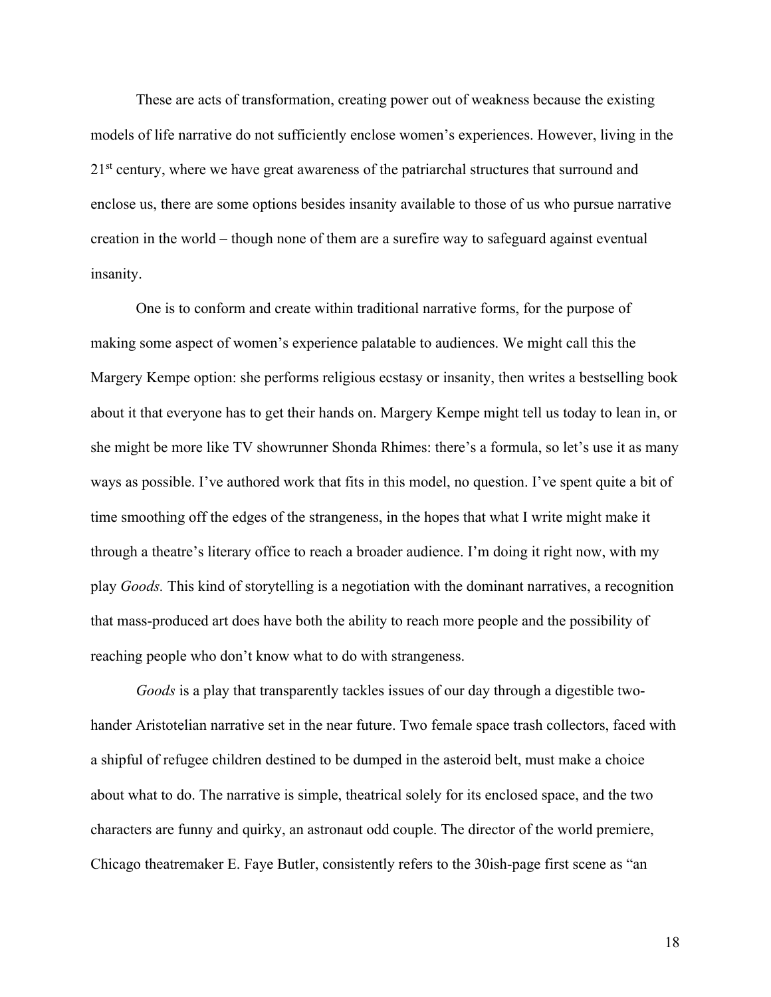These are acts of transformation, creating power out of weakness because the existing models of life narrative do not sufficiently enclose women's experiences. However, living in the  $21<sup>st</sup>$  century, where we have great awareness of the patriarchal structures that surround and enclose us, there are some options besides insanity available to those of us who pursue narrative creation in the world – though none of them are a surefire way to safeguard against eventual insanity.

One is to conform and create within traditional narrative forms, for the purpose of making some aspect of women's experience palatable to audiences. We might call this the Margery Kempe option: she performs religious ecstasy or insanity, then writes a bestselling book about it that everyone has to get their hands on. Margery Kempe might tell us today to lean in, or she might be more like TV showrunner Shonda Rhimes: there's a formula, so let's use it as many ways as possible. I've authored work that fits in this model, no question. I've spent quite a bit of time smoothing off the edges of the strangeness, in the hopes that what I write might make it through a theatre's literary office to reach a broader audience. I'm doing it right now, with my play *Goods.* This kind of storytelling is a negotiation with the dominant narratives, a recognition that mass-produced art does have both the ability to reach more people and the possibility of reaching people who don't know what to do with strangeness.

*Goods* is a play that transparently tackles issues of our day through a digestible twohander Aristotelian narrative set in the near future. Two female space trash collectors, faced with a shipful of refugee children destined to be dumped in the asteroid belt, must make a choice about what to do. The narrative is simple, theatrical solely for its enclosed space, and the two characters are funny and quirky, an astronaut odd couple. The director of the world premiere, Chicago theatremaker E. Faye Butler, consistently refers to the 30ish-page first scene as "an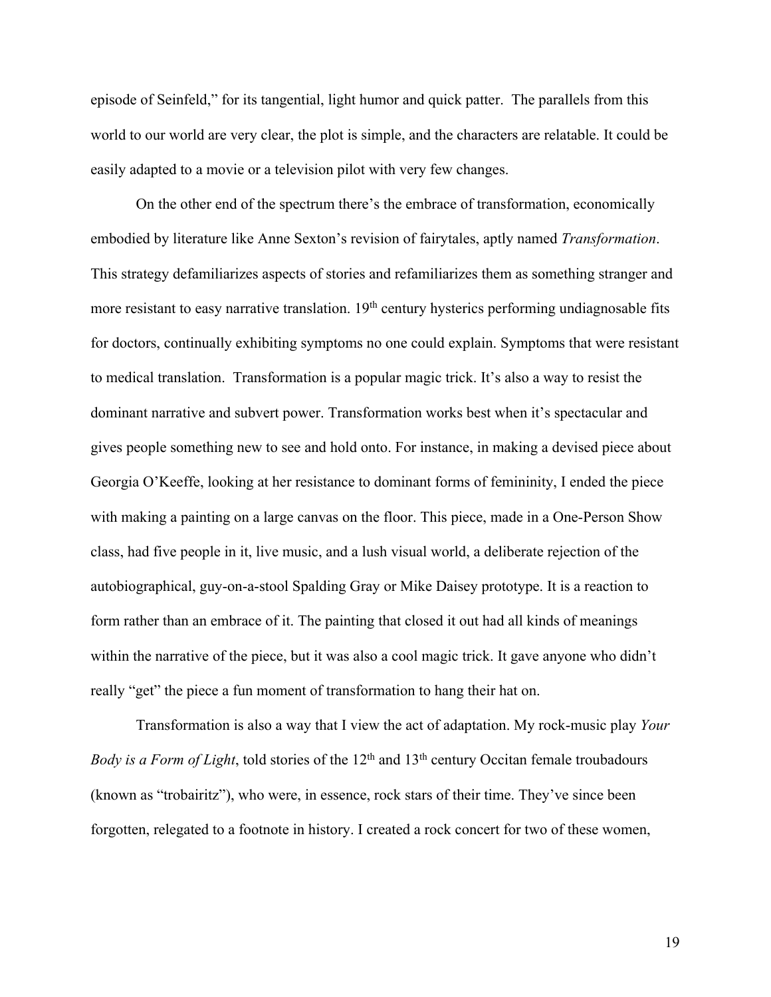episode of Seinfeld," for its tangential, light humor and quick patter. The parallels from this world to our world are very clear, the plot is simple, and the characters are relatable. It could be easily adapted to a movie or a television pilot with very few changes.

On the other end of the spectrum there's the embrace of transformation, economically embodied by literature like Anne Sexton's revision of fairytales, aptly named *Transformation*. This strategy defamiliarizes aspects of stories and refamiliarizes them as something stranger and more resistant to easy narrative translation. 19<sup>th</sup> century hysterics performing undiagnosable fits for doctors, continually exhibiting symptoms no one could explain. Symptoms that were resistant to medical translation. Transformation is a popular magic trick. It's also a way to resist the dominant narrative and subvert power. Transformation works best when it's spectacular and gives people something new to see and hold onto. For instance, in making a devised piece about Georgia O'Keeffe, looking at her resistance to dominant forms of femininity, I ended the piece with making a painting on a large canvas on the floor. This piece, made in a One-Person Show class, had five people in it, live music, and a lush visual world, a deliberate rejection of the autobiographical, guy-on-a-stool Spalding Gray or Mike Daisey prototype. It is a reaction to form rather than an embrace of it. The painting that closed it out had all kinds of meanings within the narrative of the piece, but it was also a cool magic trick. It gave anyone who didn't really "get" the piece a fun moment of transformation to hang their hat on.

Transformation is also a way that I view the act of adaptation. My rock-music play *Your Body is a Form of Light*, told stories of the 12<sup>th</sup> and 13<sup>th</sup> century Occitan female troubadours (known as "trobairitz"), who were, in essence, rock stars of their time. They've since been forgotten, relegated to a footnote in history. I created a rock concert for two of these women,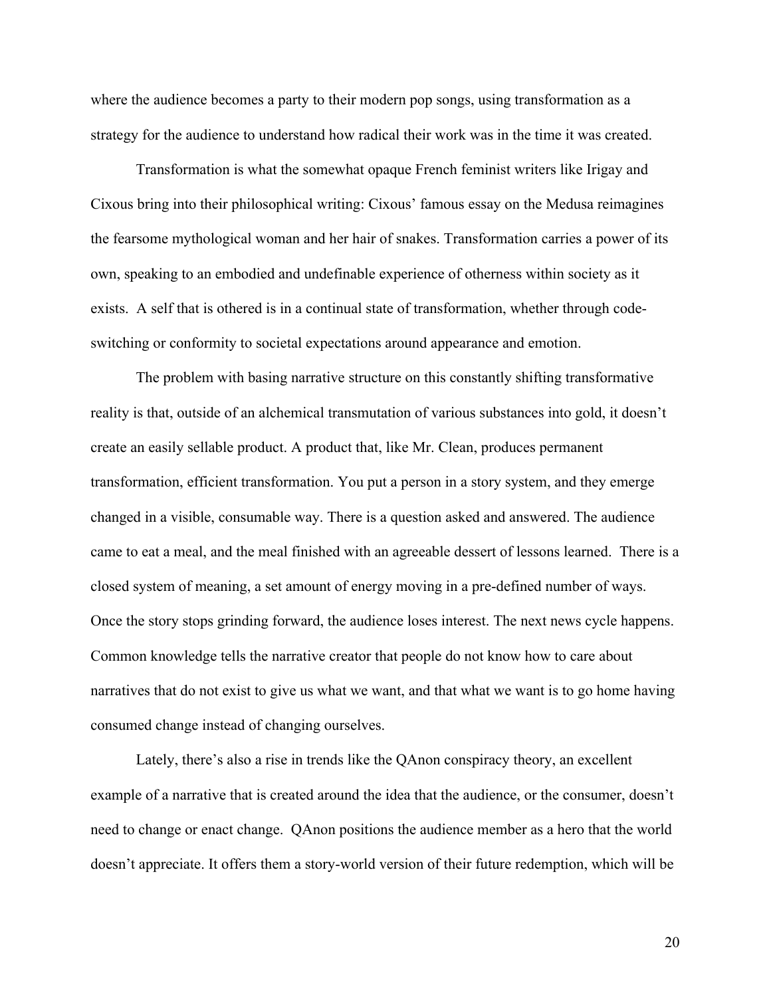where the audience becomes a party to their modern pop songs, using transformation as a strategy for the audience to understand how radical their work was in the time it was created.

Transformation is what the somewhat opaque French feminist writers like Irigay and Cixous bring into their philosophical writing: Cixous' famous essay on the Medusa reimagines the fearsome mythological woman and her hair of snakes. Transformation carries a power of its own, speaking to an embodied and undefinable experience of otherness within society as it exists. A self that is othered is in a continual state of transformation, whether through codeswitching or conformity to societal expectations around appearance and emotion.

The problem with basing narrative structure on this constantly shifting transformative reality is that, outside of an alchemical transmutation of various substances into gold, it doesn't create an easily sellable product. A product that, like Mr. Clean, produces permanent transformation, efficient transformation. You put a person in a story system, and they emerge changed in a visible, consumable way. There is a question asked and answered. The audience came to eat a meal, and the meal finished with an agreeable dessert of lessons learned. There is a closed system of meaning, a set amount of energy moving in a pre-defined number of ways. Once the story stops grinding forward, the audience loses interest. The next news cycle happens. Common knowledge tells the narrative creator that people do not know how to care about narratives that do not exist to give us what we want, and that what we want is to go home having consumed change instead of changing ourselves.

Lately, there's also a rise in trends like the QAnon conspiracy theory, an excellent example of a narrative that is created around the idea that the audience, or the consumer, doesn't need to change or enact change. QAnon positions the audience member as a hero that the world doesn't appreciate. It offers them a story-world version of their future redemption, which will be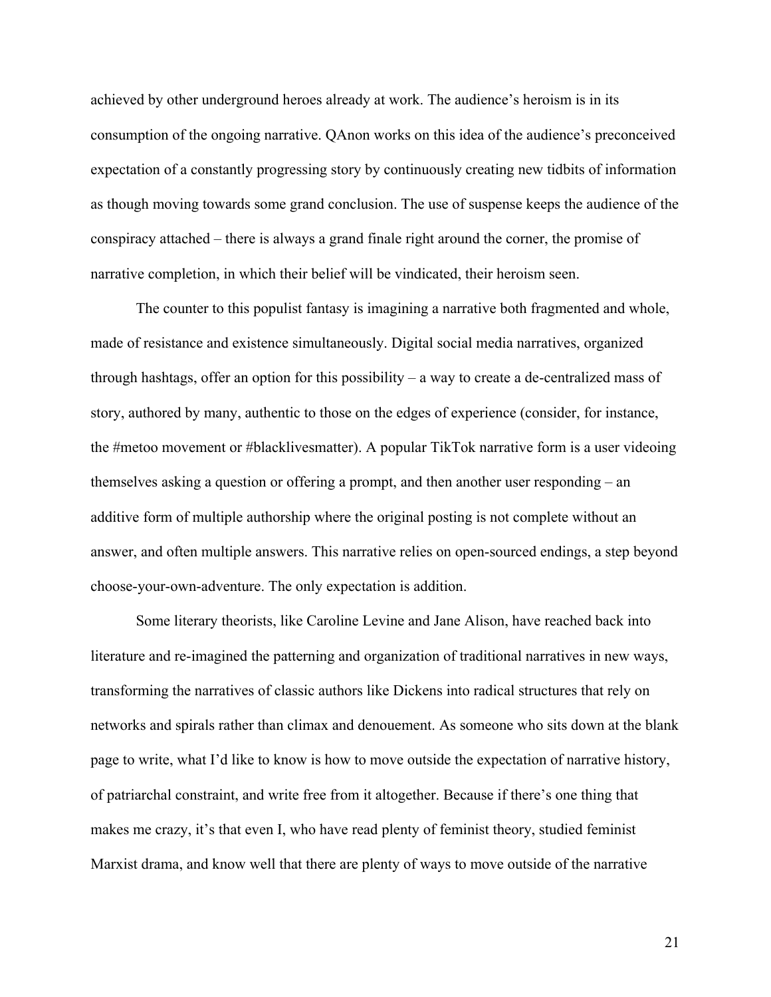achieved by other underground heroes already at work. The audience's heroism is in its consumption of the ongoing narrative. QAnon works on this idea of the audience's preconceived expectation of a constantly progressing story by continuously creating new tidbits of information as though moving towards some grand conclusion. The use of suspense keeps the audience of the conspiracy attached – there is always a grand finale right around the corner, the promise of narrative completion, in which their belief will be vindicated, their heroism seen.

The counter to this populist fantasy is imagining a narrative both fragmented and whole, made of resistance and existence simultaneously. Digital social media narratives, organized through hashtags, offer an option for this possibility – a way to create a de-centralized mass of story, authored by many, authentic to those on the edges of experience (consider, for instance, the #metoo movement or #blacklivesmatter). A popular TikTok narrative form is a user videoing themselves asking a question or offering a prompt, and then another user responding – an additive form of multiple authorship where the original posting is not complete without an answer, and often multiple answers. This narrative relies on open-sourced endings, a step beyond choose-your-own-adventure. The only expectation is addition.

Some literary theorists, like Caroline Levine and Jane Alison, have reached back into literature and re-imagined the patterning and organization of traditional narratives in new ways, transforming the narratives of classic authors like Dickens into radical structures that rely on networks and spirals rather than climax and denouement. As someone who sits down at the blank page to write, what I'd like to know is how to move outside the expectation of narrative history, of patriarchal constraint, and write free from it altogether. Because if there's one thing that makes me crazy, it's that even I, who have read plenty of feminist theory, studied feminist Marxist drama, and know well that there are plenty of ways to move outside of the narrative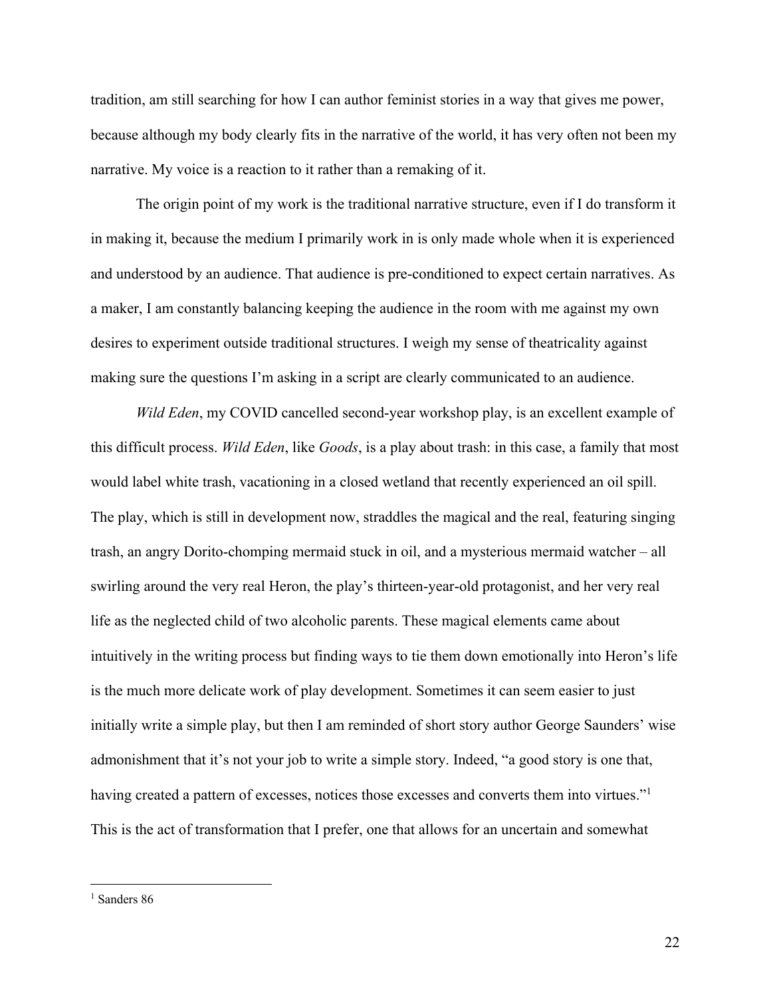tradition, am still searching for how I can author feminist stories in a way that gives me power, because although my body clearly fits in the narrative of the world, it has very often not been my narrative. My voice is a reaction to it rather than a remaking of it.

The origin point of my work is the traditional narrative structure, even if I do transform it in making it, because the medium I primarily work in is only made whole when it is experienced and understood by an audience. That audience is pre-conditioned to expect certain narratives. As a maker, I am constantly balancing keeping the audience in the room with me against my own desires to experiment outside traditional structures. I weigh my sense of theatricality against making sure the questions I'm asking in a script are clearly communicated to an audience.

*Wild Eden*, my COVID cancelled second-year workshop play, is an excellent example of this difficult process. *Wild Eden*, like *Goods*, is a play about trash: in this case, a family that most would label white trash, vacationing in a closed wetland that recently experienced an oil spill. The play, which is still in development now, straddles the magical and the real, featuring singing trash, an angry Dorito-chomping mermaid stuck in oil, and a mysterious mermaid watcher – all swirling around the very real Heron, the play's thirteen-year-old protagonist, and her very real life as the neglected child of two alcoholic parents. These magical elements came about intuitively in the writing process but finding ways to tie them down emotionally into Heron's life is the much more delicate work of play development. Sometimes it can seem easier to just initially write a simple play, but then I am reminded of short story author George Saunders' wise admonishment that it's not your job to write a simple story. Indeed, "a good story is one that, having created a pattern of excesses, notices those excesses and converts them into virtues."<sup>1</sup> This is the act of transformation that I prefer, one that allows for an uncertain and somewhat

<sup>&</sup>lt;sup>1</sup> Sanders 86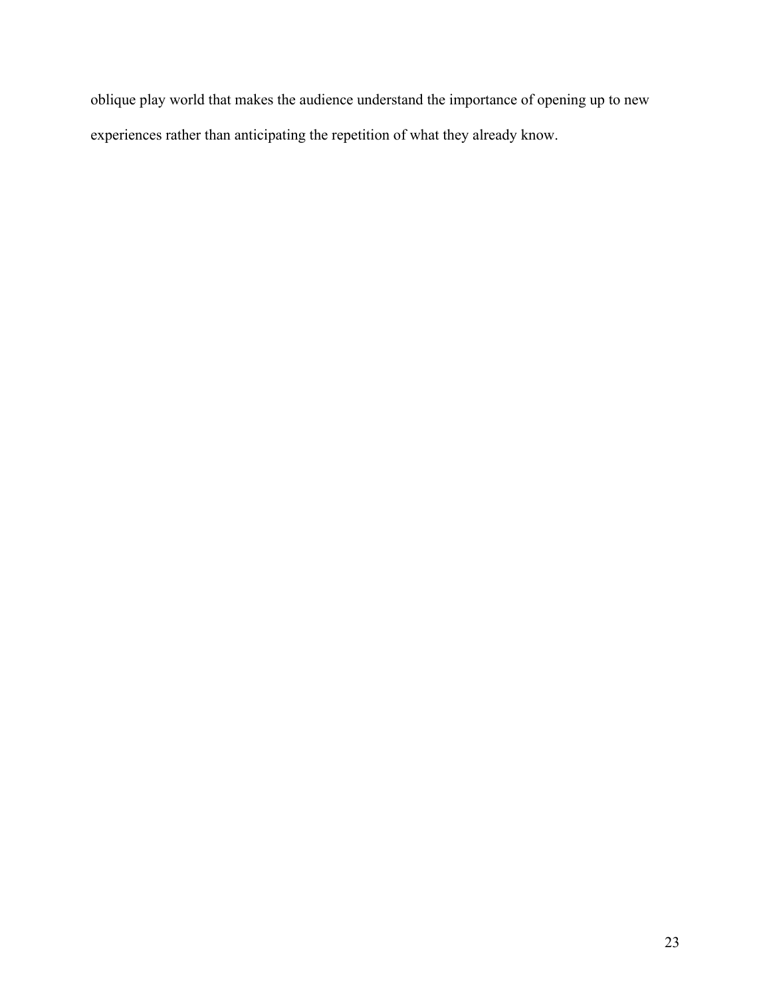oblique play world that makes the audience understand the importance of opening up to new experiences rather than anticipating the repetition of what they already know.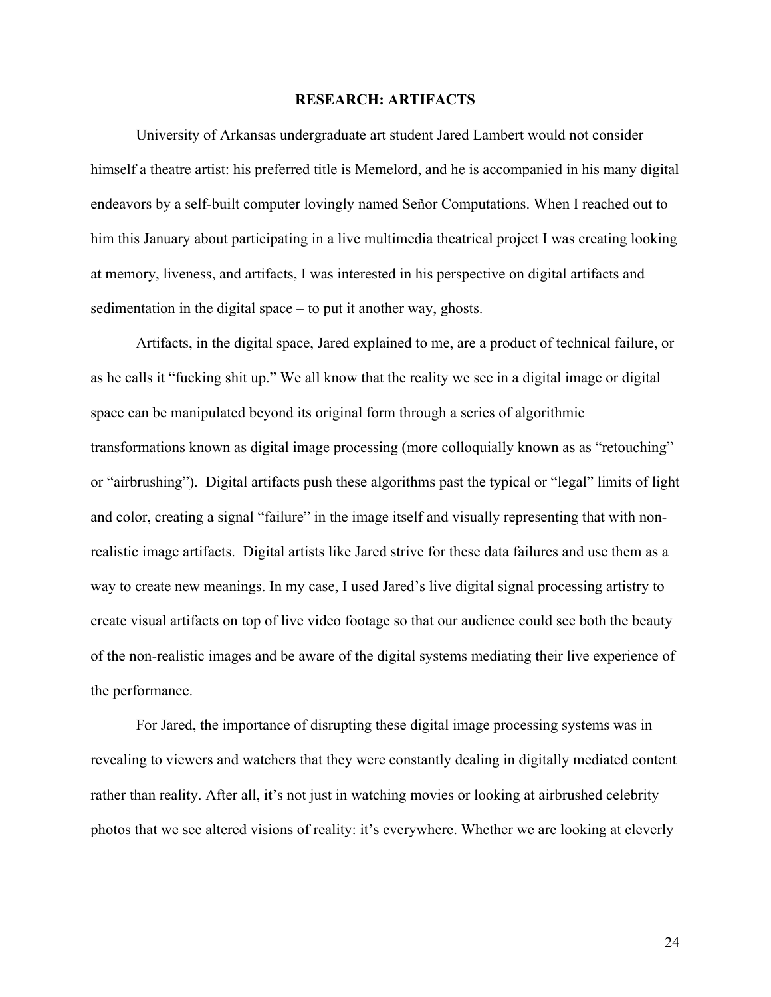#### **RESEARCH: ARTIFACTS**

University of Arkansas undergraduate art student Jared Lambert would not consider himself a theatre artist: his preferred title is Memelord, and he is accompanied in his many digital endeavors by a self-built computer lovingly named Señor Computations. When I reached out to him this January about participating in a live multimedia theatrical project I was creating looking at memory, liveness, and artifacts, I was interested in his perspective on digital artifacts and sedimentation in the digital space – to put it another way, ghosts.

Artifacts, in the digital space, Jared explained to me, are a product of technical failure, or as he calls it "fucking shit up." We all know that the reality we see in a digital image or digital space can be manipulated beyond its original form through a series of algorithmic transformations known as digital image processing (more colloquially known as as "retouching" or "airbrushing"). Digital artifacts push these algorithms past the typical or "legal" limits of light and color, creating a signal "failure" in the image itself and visually representing that with nonrealistic image artifacts. Digital artists like Jared strive for these data failures and use them as a way to create new meanings. In my case, I used Jared's live digital signal processing artistry to create visual artifacts on top of live video footage so that our audience could see both the beauty of the non-realistic images and be aware of the digital systems mediating their live experience of the performance.

For Jared, the importance of disrupting these digital image processing systems was in revealing to viewers and watchers that they were constantly dealing in digitally mediated content rather than reality. After all, it's not just in watching movies or looking at airbrushed celebrity photos that we see altered visions of reality: it's everywhere. Whether we are looking at cleverly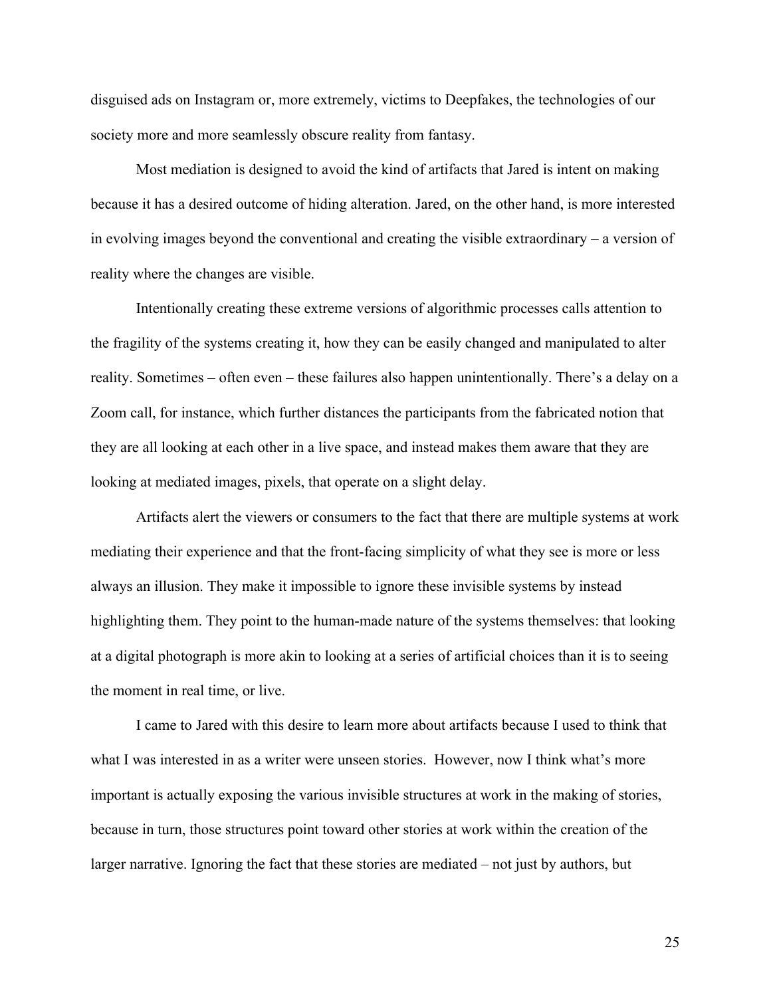disguised ads on Instagram or, more extremely, victims to Deepfakes, the technologies of our society more and more seamlessly obscure reality from fantasy.

Most mediation is designed to avoid the kind of artifacts that Jared is intent on making because it has a desired outcome of hiding alteration. Jared, on the other hand, is more interested in evolving images beyond the conventional and creating the visible extraordinary – a version of reality where the changes are visible.

Intentionally creating these extreme versions of algorithmic processes calls attention to the fragility of the systems creating it, how they can be easily changed and manipulated to alter reality. Sometimes – often even – these failures also happen unintentionally. There's a delay on a Zoom call, for instance, which further distances the participants from the fabricated notion that they are all looking at each other in a live space, and instead makes them aware that they are looking at mediated images, pixels, that operate on a slight delay.

Artifacts alert the viewers or consumers to the fact that there are multiple systems at work mediating their experience and that the front-facing simplicity of what they see is more or less always an illusion. They make it impossible to ignore these invisible systems by instead highlighting them. They point to the human-made nature of the systems themselves: that looking at a digital photograph is more akin to looking at a series of artificial choices than it is to seeing the moment in real time, or live.

I came to Jared with this desire to learn more about artifacts because I used to think that what I was interested in as a writer were unseen stories. However, now I think what's more important is actually exposing the various invisible structures at work in the making of stories, because in turn, those structures point toward other stories at work within the creation of the larger narrative. Ignoring the fact that these stories are mediated – not just by authors, but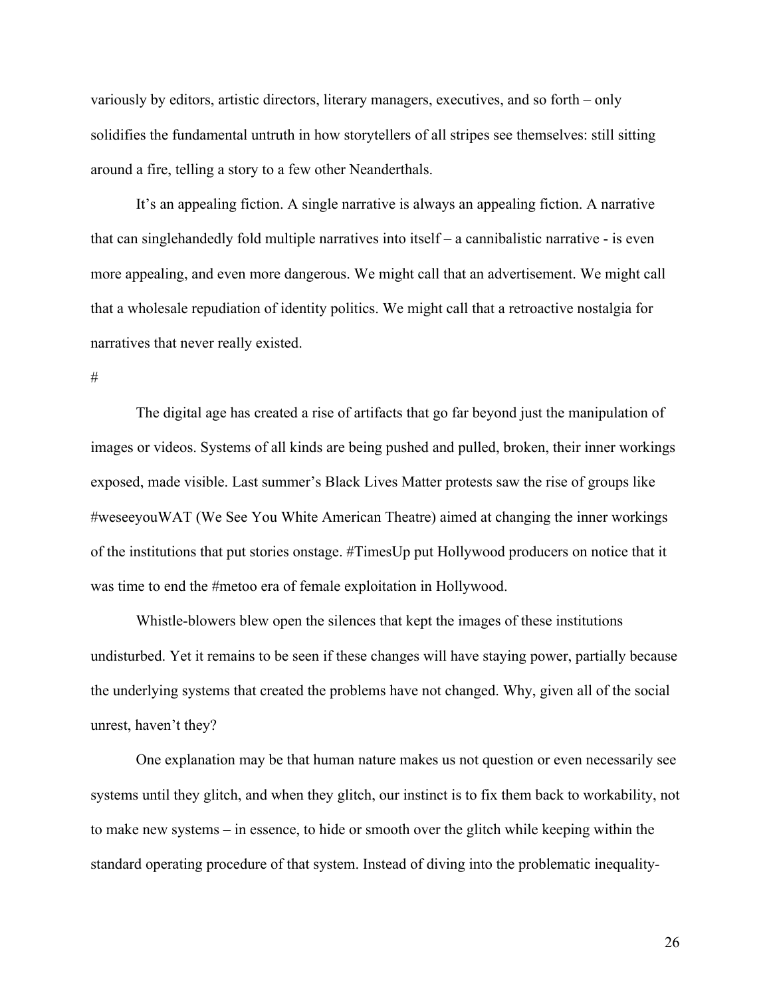variously by editors, artistic directors, literary managers, executives, and so forth – only solidifies the fundamental untruth in how storytellers of all stripes see themselves: still sitting around a fire, telling a story to a few other Neanderthals.

It's an appealing fiction. A single narrative is always an appealing fiction. A narrative that can singlehandedly fold multiple narratives into itself – a cannibalistic narrative - is even more appealing, and even more dangerous. We might call that an advertisement. We might call that a wholesale repudiation of identity politics. We might call that a retroactive nostalgia for narratives that never really existed.

#

The digital age has created a rise of artifacts that go far beyond just the manipulation of images or videos. Systems of all kinds are being pushed and pulled, broken, their inner workings exposed, made visible. Last summer's Black Lives Matter protests saw the rise of groups like #weseeyouWAT (We See You White American Theatre) aimed at changing the inner workings of the institutions that put stories onstage. #TimesUp put Hollywood producers on notice that it was time to end the #metoo era of female exploitation in Hollywood.

Whistle-blowers blew open the silences that kept the images of these institutions undisturbed. Yet it remains to be seen if these changes will have staying power, partially because the underlying systems that created the problems have not changed. Why, given all of the social unrest, haven't they?

One explanation may be that human nature makes us not question or even necessarily see systems until they glitch, and when they glitch, our instinct is to fix them back to workability, not to make new systems – in essence, to hide or smooth over the glitch while keeping within the standard operating procedure of that system. Instead of diving into the problematic inequality-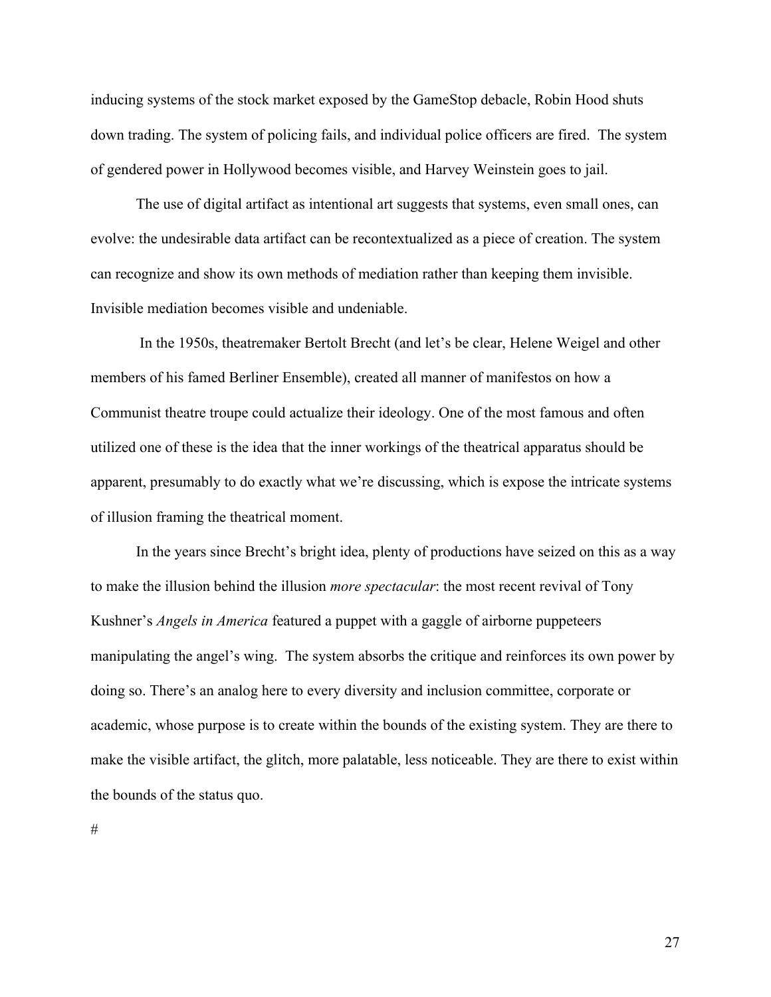inducing systems of the stock market exposed by the GameStop debacle, Robin Hood shuts down trading. The system of policing fails, and individual police officers are fired. The system of gendered power in Hollywood becomes visible, and Harvey Weinstein goes to jail.

The use of digital artifact as intentional art suggests that systems, even small ones, can evolve: the undesirable data artifact can be recontextualized as a piece of creation. The system can recognize and show its own methods of mediation rather than keeping them invisible. Invisible mediation becomes visible and undeniable.

In the 1950s, theatremaker Bertolt Brecht (and let's be clear, Helene Weigel and other members of his famed Berliner Ensemble), created all manner of manifestos on how a Communist theatre troupe could actualize their ideology. One of the most famous and often utilized one of these is the idea that the inner workings of the theatrical apparatus should be apparent, presumably to do exactly what we're discussing, which is expose the intricate systems of illusion framing the theatrical moment.

In the years since Brecht's bright idea, plenty of productions have seized on this as a way to make the illusion behind the illusion *more spectacular*: the most recent revival of Tony Kushner's *Angels in America* featured a puppet with a gaggle of airborne puppeteers manipulating the angel's wing. The system absorbs the critique and reinforces its own power by doing so. There's an analog here to every diversity and inclusion committee, corporate or academic, whose purpose is to create within the bounds of the existing system. They are there to make the visible artifact, the glitch, more palatable, less noticeable. They are there to exist within the bounds of the status quo.

#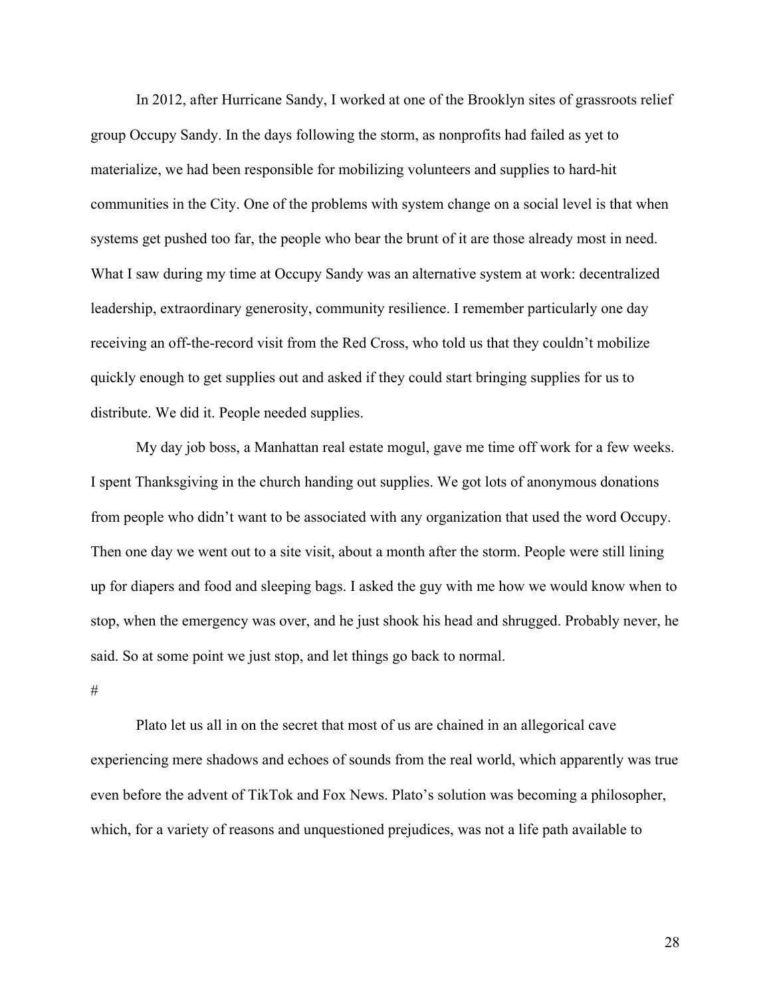In 2012, after Hurricane Sandy, I worked at one of the Brooklyn sites of grassroots relief group Occupy Sandy. In the days following the storm, as nonprofits had failed as yet to materialize, we had been responsible for mobilizing volunteers and supplies to hard-hit communities in the City. One of the problems with system change on a social level is that when systems get pushed too far, the people who bear the brunt of it are those already most in need. What I saw during my time at Occupy Sandy was an alternative system at work: decentralized leadership, extraordinary generosity, community resilience. I remember particularly one day receiving an off-the-record visit from the Red Cross, who told us that they couldn't mobilize quickly enough to get supplies out and asked if they could start bringing supplies for us to distribute. We did it. People needed supplies.

My day job boss, a Manhattan real estate mogul, gave me time off work for a few weeks. I spent Thanksgiving in the church handing out supplies. We got lots of anonymous donations from people who didn't want to be associated with any organization that used the word Occupy. Then one day we went out to a site visit, about a month after the storm. People were still lining up for diapers and food and sleeping bags. I asked the guy with me how we would know when to stop, when the emergency was over, and he just shook his head and shrugged. Probably never, he said. So at some point we just stop, and let things go back to normal.

#### #

Plato let us all in on the secret that most of us are chained in an allegorical cave experiencing mere shadows and echoes of sounds from the real world, which apparently was true even before the advent of TikTok and Fox News. Plato's solution was becoming a philosopher, which, for a variety of reasons and unquestioned prejudices, was not a life path available to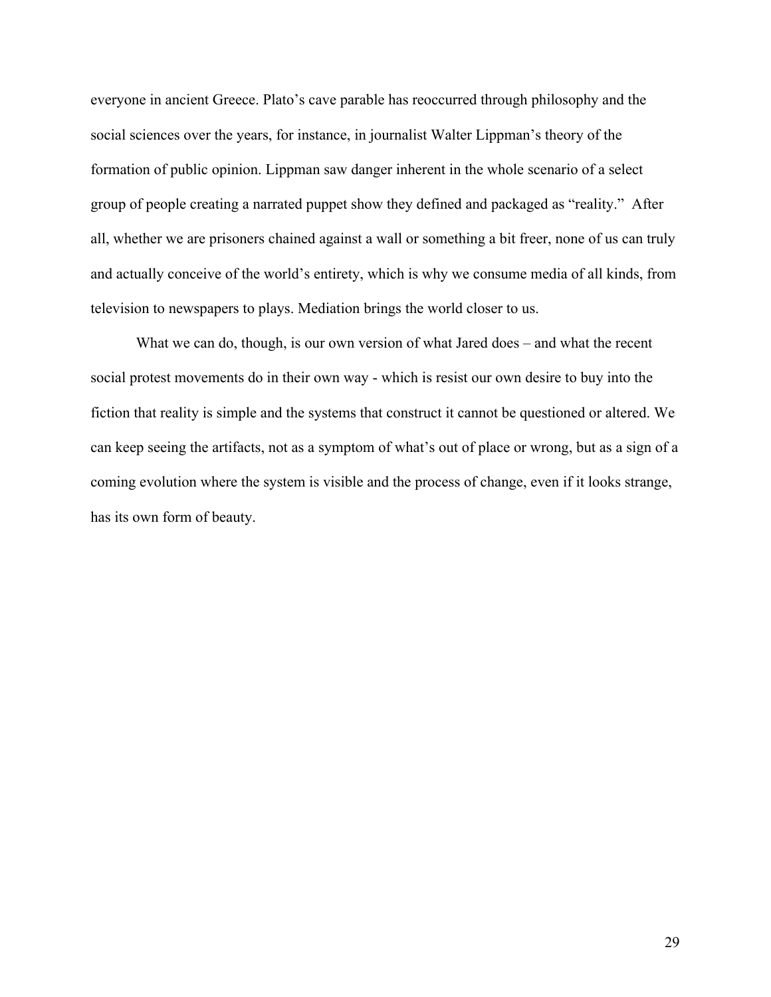everyone in ancient Greece. Plato's cave parable has reoccurred through philosophy and the social sciences over the years, for instance, in journalist Walter Lippman's theory of the formation of public opinion. Lippman saw danger inherent in the whole scenario of a select group of people creating a narrated puppet show they defined and packaged as "reality." After all, whether we are prisoners chained against a wall or something a bit freer, none of us can truly and actually conceive of the world's entirety, which is why we consume media of all kinds, from television to newspapers to plays. Mediation brings the world closer to us.

What we can do, though, is our own version of what Jared does – and what the recent social protest movements do in their own way - which is resist our own desire to buy into the fiction that reality is simple and the systems that construct it cannot be questioned or altered. We can keep seeing the artifacts, not as a symptom of what's out of place or wrong, but as a sign of a coming evolution where the system is visible and the process of change, even if it looks strange, has its own form of beauty.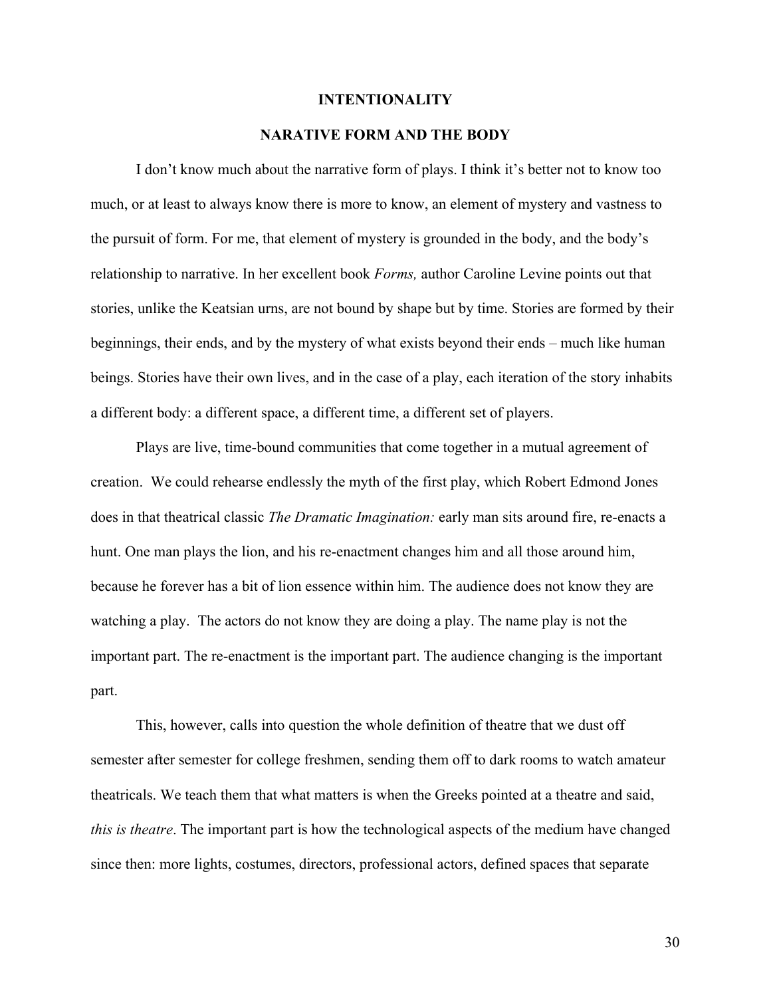#### **INTENTIONALITY**

## **NARATIVE FORM AND THE BODY**

I don't know much about the narrative form of plays. I think it's better not to know too much, or at least to always know there is more to know, an element of mystery and vastness to the pursuit of form. For me, that element of mystery is grounded in the body, and the body's relationship to narrative. In her excellent book *Forms,* author Caroline Levine points out that stories, unlike the Keatsian urns, are not bound by shape but by time. Stories are formed by their beginnings, their ends, and by the mystery of what exists beyond their ends – much like human beings. Stories have their own lives, and in the case of a play, each iteration of the story inhabits a different body: a different space, a different time, a different set of players.

Plays are live, time-bound communities that come together in a mutual agreement of creation. We could rehearse endlessly the myth of the first play, which Robert Edmond Jones does in that theatrical classic *The Dramatic Imagination:* early man sits around fire, re-enacts a hunt. One man plays the lion, and his re-enactment changes him and all those around him, because he forever has a bit of lion essence within him. The audience does not know they are watching a play. The actors do not know they are doing a play. The name play is not the important part. The re-enactment is the important part. The audience changing is the important part.

This, however, calls into question the whole definition of theatre that we dust off semester after semester for college freshmen, sending them off to dark rooms to watch amateur theatricals. We teach them that what matters is when the Greeks pointed at a theatre and said, *this is theatre*. The important part is how the technological aspects of the medium have changed since then: more lights, costumes, directors, professional actors, defined spaces that separate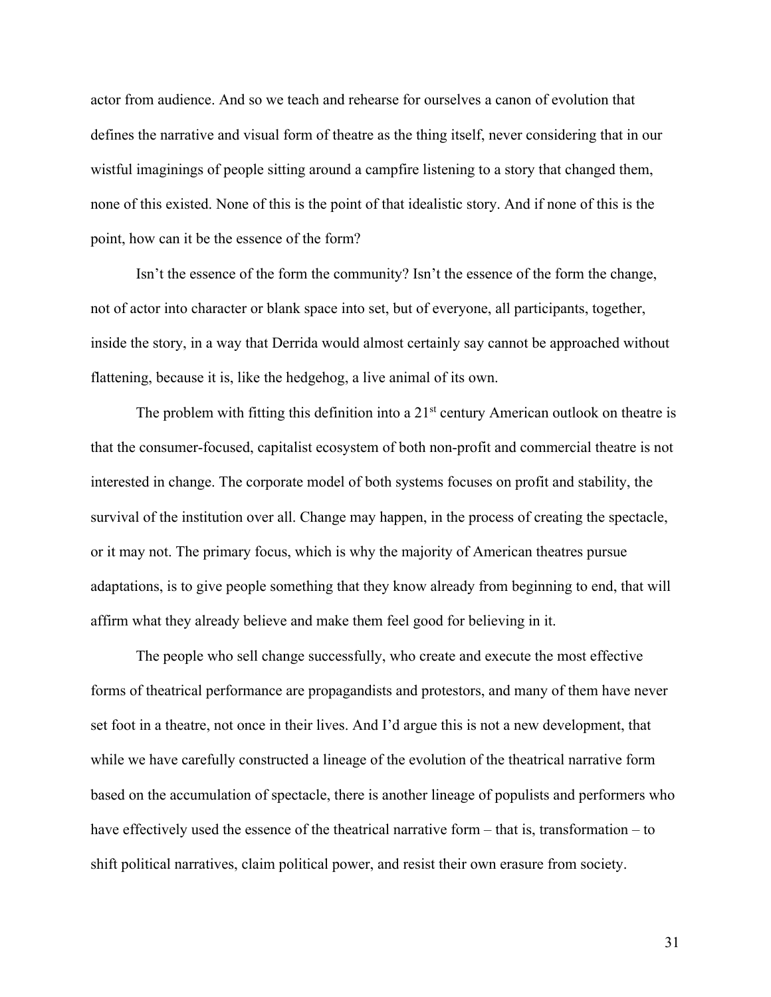actor from audience. And so we teach and rehearse for ourselves a canon of evolution that defines the narrative and visual form of theatre as the thing itself, never considering that in our wistful imaginings of people sitting around a campfire listening to a story that changed them, none of this existed. None of this is the point of that idealistic story. And if none of this is the point, how can it be the essence of the form?

Isn't the essence of the form the community? Isn't the essence of the form the change, not of actor into character or blank space into set, but of everyone, all participants, together, inside the story, in a way that Derrida would almost certainly say cannot be approached without flattening, because it is, like the hedgehog, a live animal of its own.

The problem with fitting this definition into a  $21<sup>st</sup>$  century American outlook on theatre is that the consumer-focused, capitalist ecosystem of both non-profit and commercial theatre is not interested in change. The corporate model of both systems focuses on profit and stability, the survival of the institution over all. Change may happen, in the process of creating the spectacle, or it may not. The primary focus, which is why the majority of American theatres pursue adaptations, is to give people something that they know already from beginning to end, that will affirm what they already believe and make them feel good for believing in it.

The people who sell change successfully, who create and execute the most effective forms of theatrical performance are propagandists and protestors, and many of them have never set foot in a theatre, not once in their lives. And I'd argue this is not a new development, that while we have carefully constructed a lineage of the evolution of the theatrical narrative form based on the accumulation of spectacle, there is another lineage of populists and performers who have effectively used the essence of the theatrical narrative form – that is, transformation – to shift political narratives, claim political power, and resist their own erasure from society.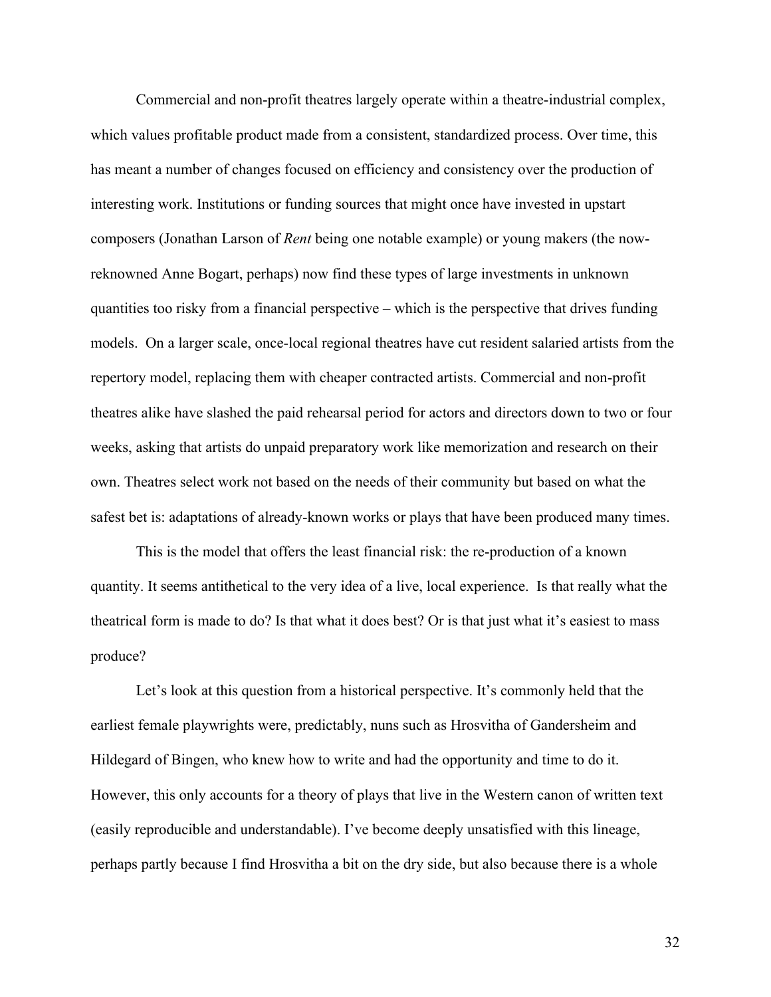Commercial and non-profit theatres largely operate within a theatre-industrial complex, which values profitable product made from a consistent, standardized process. Over time, this has meant a number of changes focused on efficiency and consistency over the production of interesting work. Institutions or funding sources that might once have invested in upstart composers (Jonathan Larson of *Rent* being one notable example) or young makers (the nowreknowned Anne Bogart, perhaps) now find these types of large investments in unknown quantities too risky from a financial perspective – which is the perspective that drives funding models. On a larger scale, once-local regional theatres have cut resident salaried artists from the repertory model, replacing them with cheaper contracted artists. Commercial and non-profit theatres alike have slashed the paid rehearsal period for actors and directors down to two or four weeks, asking that artists do unpaid preparatory work like memorization and research on their own. Theatres select work not based on the needs of their community but based on what the safest bet is: adaptations of already-known works or plays that have been produced many times.

This is the model that offers the least financial risk: the re-production of a known quantity. It seems antithetical to the very idea of a live, local experience. Is that really what the theatrical form is made to do? Is that what it does best? Or is that just what it's easiest to mass produce?

Let's look at this question from a historical perspective. It's commonly held that the earliest female playwrights were, predictably, nuns such as Hrosvitha of Gandersheim and Hildegard of Bingen, who knew how to write and had the opportunity and time to do it. However, this only accounts for a theory of plays that live in the Western canon of written text (easily reproducible and understandable). I've become deeply unsatisfied with this lineage, perhaps partly because I find Hrosvitha a bit on the dry side, but also because there is a whole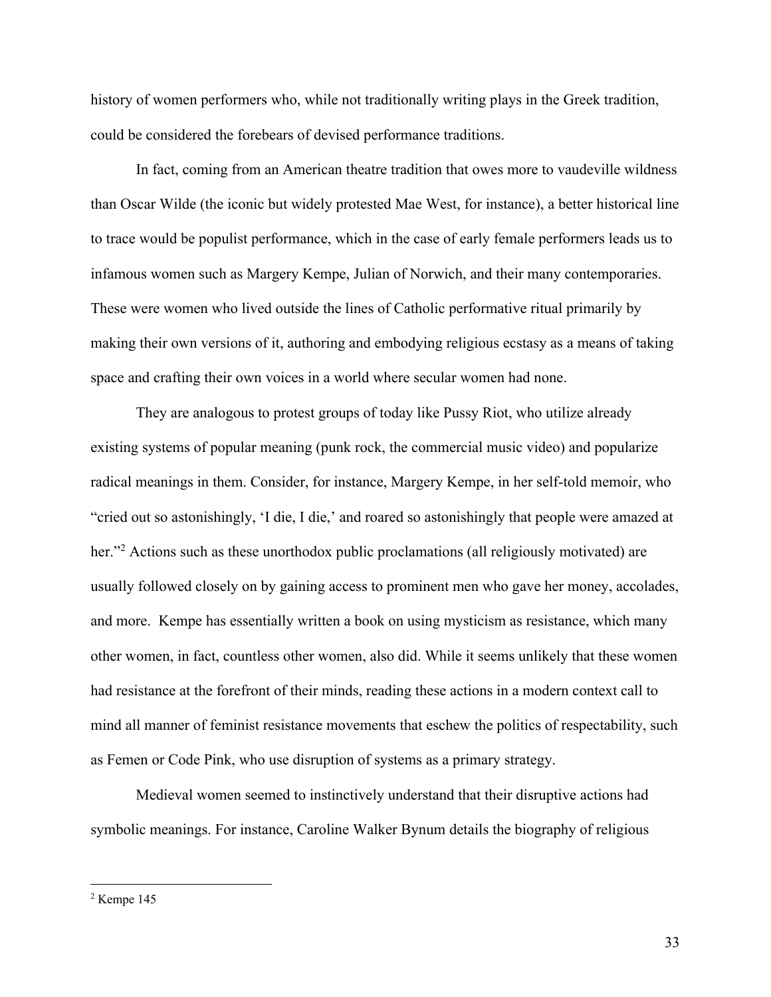history of women performers who, while not traditionally writing plays in the Greek tradition, could be considered the forebears of devised performance traditions.

In fact, coming from an American theatre tradition that owes more to vaudeville wildness than Oscar Wilde (the iconic but widely protested Mae West, for instance), a better historical line to trace would be populist performance, which in the case of early female performers leads us to infamous women such as Margery Kempe, Julian of Norwich, and their many contemporaries. These were women who lived outside the lines of Catholic performative ritual primarily by making their own versions of it, authoring and embodying religious ecstasy as a means of taking space and crafting their own voices in a world where secular women had none.

They are analogous to protest groups of today like Pussy Riot, who utilize already existing systems of popular meaning (punk rock, the commercial music video) and popularize radical meanings in them. Consider, for instance, Margery Kempe, in her self-told memoir, who "cried out so astonishingly, 'I die, I die,' and roared so astonishingly that people were amazed at her."<sup>2</sup> Actions such as these unorthodox public proclamations (all religiously motivated) are usually followed closely on by gaining access to prominent men who gave her money, accolades, and more. Kempe has essentially written a book on using mysticism as resistance, which many other women, in fact, countless other women, also did. While it seems unlikely that these women had resistance at the forefront of their minds, reading these actions in a modern context call to mind all manner of feminist resistance movements that eschew the politics of respectability, such as Femen or Code Pink, who use disruption of systems as a primary strategy.

Medieval women seemed to instinctively understand that their disruptive actions had symbolic meanings. For instance, Caroline Walker Bynum details the biography of religious

<sup>2</sup> Kempe 145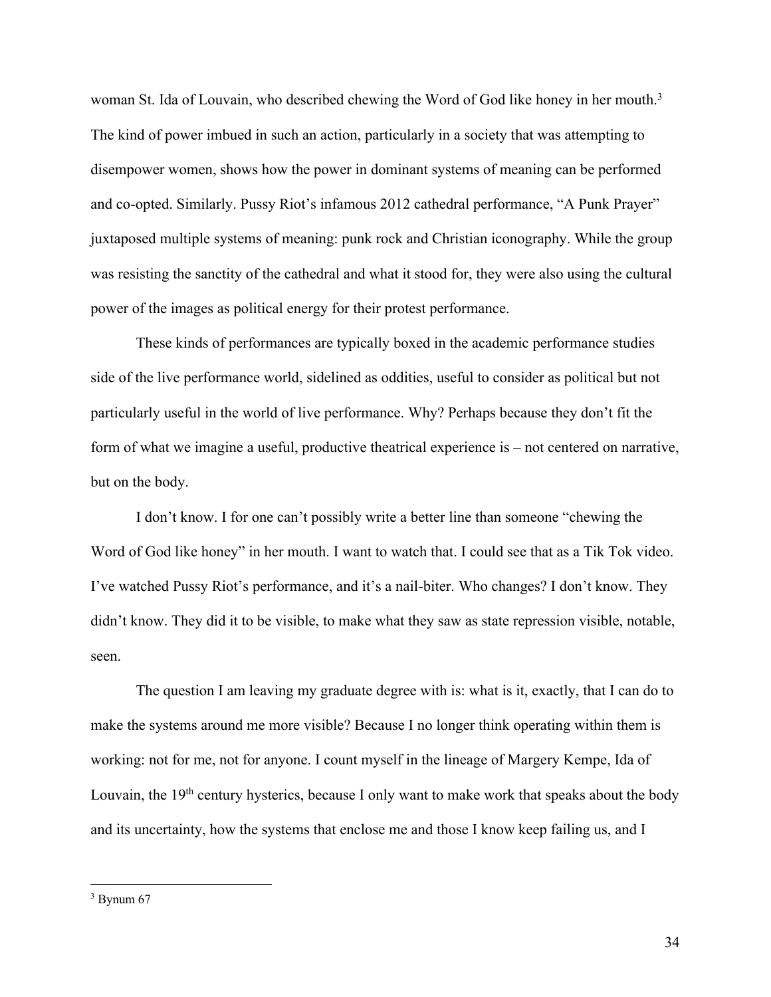woman St. Ida of Louvain, who described chewing the Word of God like honey in her mouth.<sup>3</sup> The kind of power imbued in such an action, particularly in a society that was attempting to disempower women, shows how the power in dominant systems of meaning can be performed and co-opted. Similarly. Pussy Riot's infamous 2012 cathedral performance, "A Punk Prayer" juxtaposed multiple systems of meaning: punk rock and Christian iconography. While the group was resisting the sanctity of the cathedral and what it stood for, they were also using the cultural power of the images as political energy for their protest performance.

These kinds of performances are typically boxed in the academic performance studies side of the live performance world, sidelined as oddities, useful to consider as political but not particularly useful in the world of live performance. Why? Perhaps because they don't fit the form of what we imagine a useful, productive theatrical experience is – not centered on narrative, but on the body.

I don't know. I for one can't possibly write a better line than someone "chewing the Word of God like honey" in her mouth. I want to watch that. I could see that as a Tik Tok video. I've watched Pussy Riot's performance, and it's a nail-biter. Who changes? I don't know. They didn't know. They did it to be visible, to make what they saw as state repression visible, notable, seen.

The question I am leaving my graduate degree with is: what is it, exactly, that I can do to make the systems around me more visible? Because I no longer think operating within them is working: not for me, not for anyone. I count myself in the lineage of Margery Kempe, Ida of Louvain, the  $19<sup>th</sup>$  century hysterics, because I only want to make work that speaks about the body and its uncertainty, how the systems that enclose me and those I know keep failing us, and I

 $3$  Bynum 67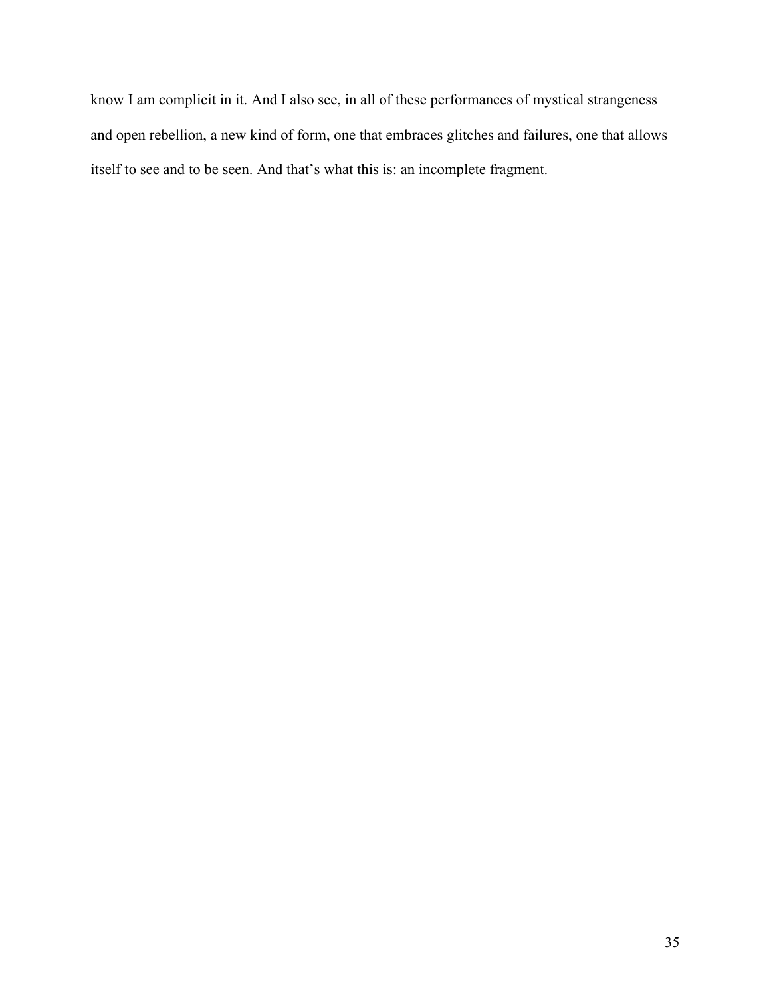know I am complicit in it. And I also see, in all of these performances of mystical strangeness and open rebellion, a new kind of form, one that embraces glitches and failures, one that allows itself to see and to be seen. And that's what this is: an incomplete fragment.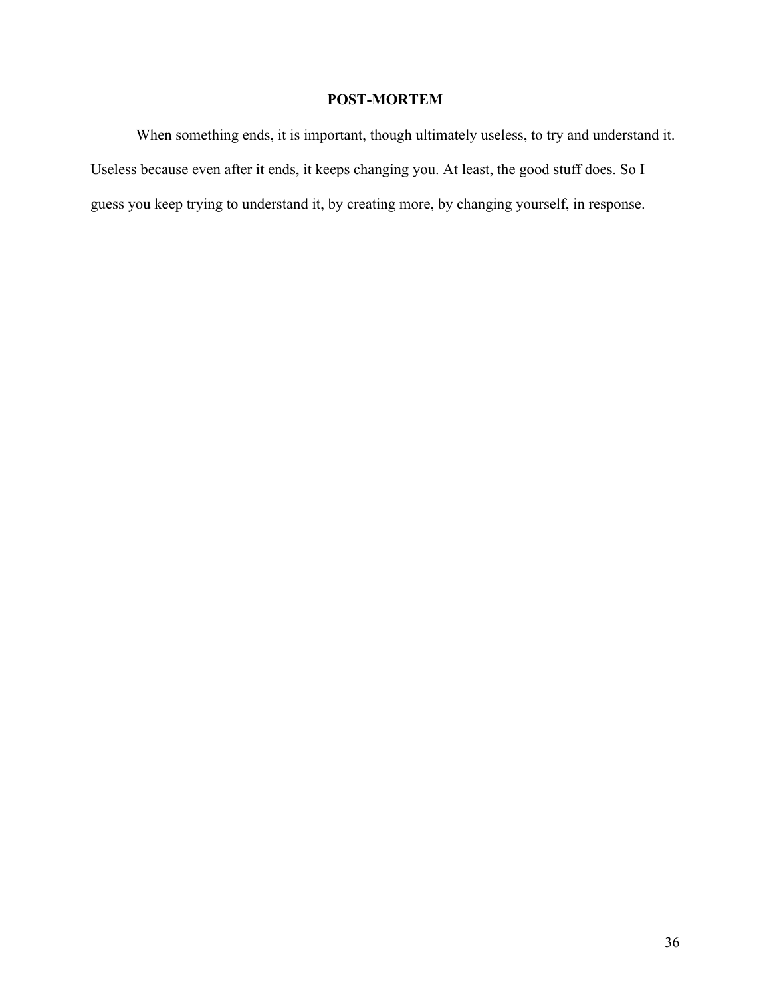# **POST-MORTEM**

When something ends, it is important, though ultimately useless, to try and understand it. Useless because even after it ends, it keeps changing you. At least, the good stuff does. So I guess you keep trying to understand it, by creating more, by changing yourself, in response.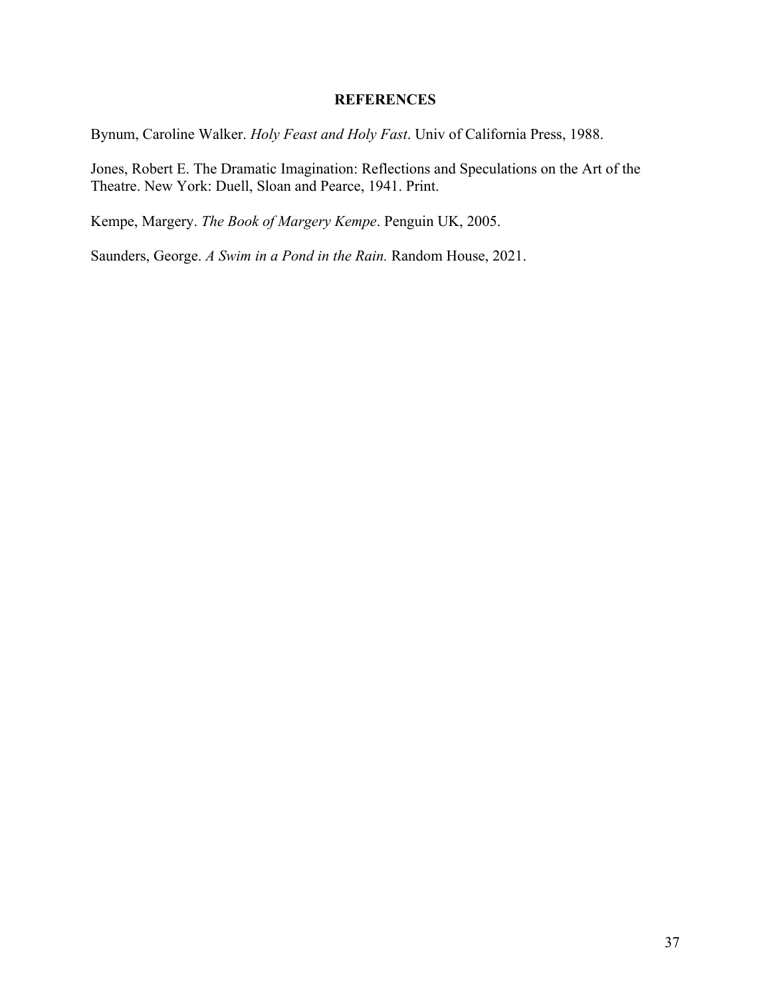# **REFERENCES**

Bynum, Caroline Walker. *Holy Feast and Holy Fast*. Univ of California Press, 1988.

Jones, Robert E. The Dramatic Imagination: Reflections and Speculations on the Art of the Theatre. New York: Duell, Sloan and Pearce, 1941. Print.

Kempe, Margery. *The Book of Margery Kempe*. Penguin UK, 2005.

Saunders, George. *A Swim in a Pond in the Rain.* Random House, 2021.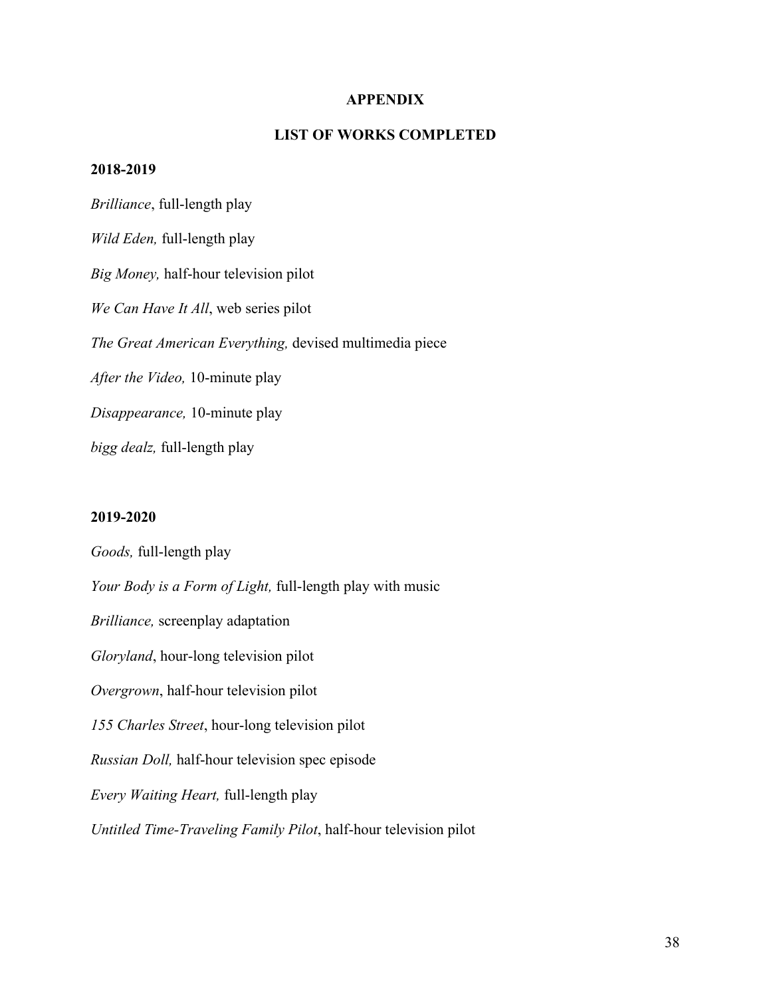## **APPENDIX**

# **LIST OF WORKS COMPLETED**

#### **2018-2019**

*Brilliance*, full-length play *Wild Eden,* full-length play *Big Money,* half-hour television pilot *We Can Have It All*, web series pilot *The Great American Everything,* devised multimedia piece *After the Video,* 10-minute play *Disappearance,* 10-minute play *bigg dealz,* full-length play

#### **2019-2020**

*Goods,* full-length play *Your Body is a Form of Light,* full-length play with music *Brilliance,* screenplay adaptation *Gloryland*, hour-long television pilot *Overgrown*, half-hour television pilot *155 Charles Street*, hour-long television pilot *Russian Doll,* half-hour television spec episode *Every Waiting Heart,* full-length play *Untitled Time-Traveling Family Pilot*, half-hour television pilot